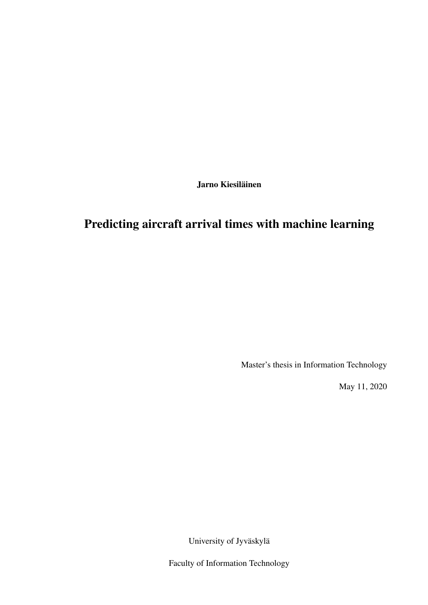Jarno Kiesiläinen

# Predicting aircraft arrival times with machine learning

Master's thesis in Information Technology

May 11, 2020

University of Jyväskylä

Faculty of Information Technology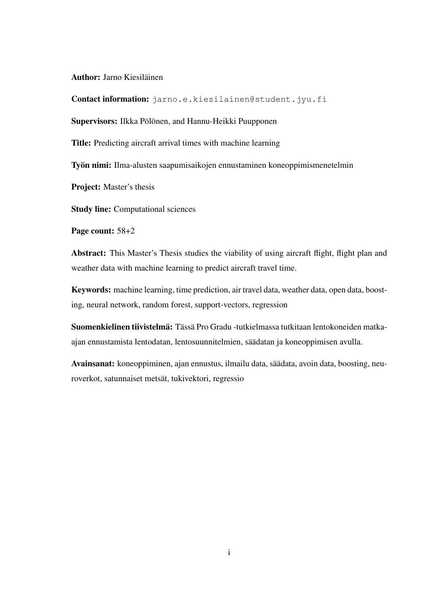Author: Jarno Kiesiläinen

Contact information: jarno.e.kiesilainen@student.jyu.fi

Supervisors: Ilkka Pölönen, and Hannu-Heikki Puupponen

Title: Predicting aircraft arrival times with machine learning

Työn nimi: Ilma-alusten saapumisaikojen ennustaminen koneoppimismenetelmin

Project: Master's thesis

Study line: Computational sciences

Page count: 58+2

Abstract: This Master's Thesis studies the viability of using aircraft flight, flight plan and weather data with machine learning to predict aircraft travel time.

Keywords: machine learning, time prediction, air travel data, weather data, open data, boosting, neural network, random forest, support-vectors, regression

Suomenkielinen tiivistelmä: Tässä Pro Gradu -tutkielmassa tutkitaan lentokoneiden matkaajan ennustamista lentodatan, lentosuunnitelmien, säädatan ja koneoppimisen avulla.

Avainsanat: koneoppiminen, ajan ennustus, ilmailu data, säädata, avoin data, boosting, neuroverkot, satunnaiset metsät, tukivektori, regressio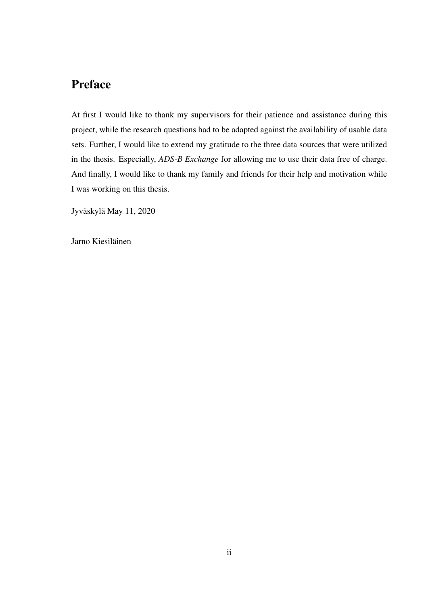# Preface

At first I would like to thank my supervisors for their patience and assistance during this project, while the research questions had to be adapted against the availability of usable data sets. Further, I would like to extend my gratitude to the three data sources that were utilized in the thesis. Especially, *ADS-B Exchange* for allowing me to use their data free of charge. And finally, I would like to thank my family and friends for their help and motivation while I was working on this thesis.

Jyväskylä May 11, 2020

Jarno Kiesiläinen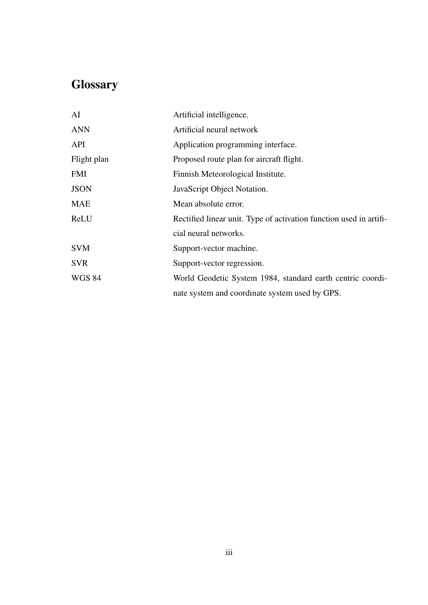# **Glossary**

| AI            | Artificial intelligence.                                           |
|---------------|--------------------------------------------------------------------|
| <b>ANN</b>    | Artificial neural network                                          |
| API           | Application programming interface.                                 |
| Flight plan   | Proposed route plan for aircraft flight.                           |
| FMI           | Finnish Meteorological Institute.                                  |
| <b>JSON</b>   | JavaScript Object Notation.                                        |
| MAE           | Mean absolute error.                                               |
| ReLU          | Rectified linear unit. Type of activation function used in artifi- |
|               | cial neural networks.                                              |
| <b>SVM</b>    | Support-vector machine.                                            |
| <b>SVR</b>    | Support-vector regression.                                         |
| <b>WGS 84</b> | World Geodetic System 1984, standard earth centric coordi-         |
|               | nate system and coordinate system used by GPS.                     |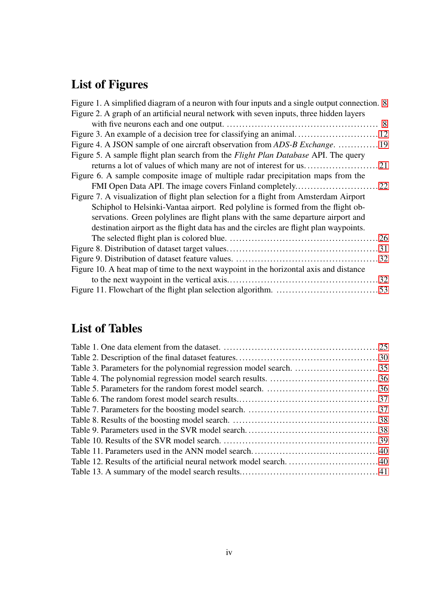# List of Figures

| Figure 1. A simplified diagram of a neuron with four inputs and a single output connection. 8 |  |
|-----------------------------------------------------------------------------------------------|--|
| Figure 2. A graph of an artificial neural network with seven inputs, three hidden layers      |  |
|                                                                                               |  |
|                                                                                               |  |
|                                                                                               |  |
| Figure 5. A sample flight plan search from the <i>Flight Plan Database</i> API. The query     |  |
|                                                                                               |  |
| Figure 6. A sample composite image of multiple radar precipitation maps from the              |  |
|                                                                                               |  |
| Figure 7. A visualization of flight plan selection for a flight from Amsterdam Airport        |  |
| Schiphol to Helsinki-Vantaa airport. Red polyline is formed from the flight ob-               |  |
| servations. Green polylines are flight plans with the same departure airport and              |  |
| destination airport as the flight data has and the circles are flight plan waypoints.         |  |
|                                                                                               |  |
|                                                                                               |  |
|                                                                                               |  |
| Figure 10. A heat map of time to the next waypoint in the horizontal axis and distance        |  |
|                                                                                               |  |
|                                                                                               |  |
|                                                                                               |  |

# List of Tables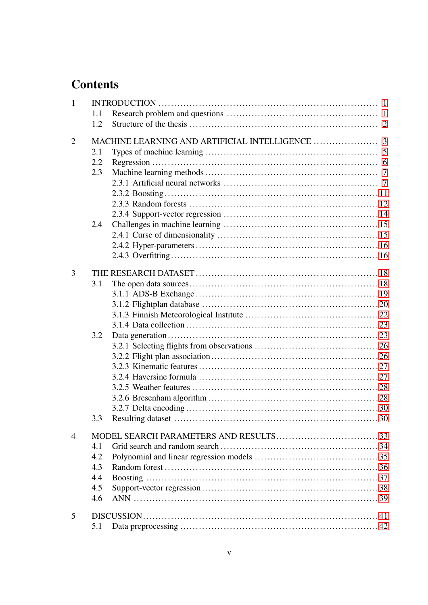# **Contents**

| $\mathbf{1}$   |     |  |
|----------------|-----|--|
|                | 1.1 |  |
|                | 1.2 |  |
| $\overline{2}$ |     |  |
|                | 2.1 |  |
|                | 2.2 |  |
|                | 2.3 |  |
|                |     |  |
|                |     |  |
|                |     |  |
|                |     |  |
|                | 2.4 |  |
|                |     |  |
|                |     |  |
|                |     |  |
| 3              |     |  |
|                | 3.1 |  |
|                |     |  |
|                |     |  |
|                |     |  |
|                |     |  |
|                | 3.2 |  |
|                |     |  |
|                |     |  |
|                |     |  |
|                |     |  |
|                |     |  |
|                |     |  |
|                |     |  |
|                | 3.3 |  |
| $\overline{4}$ |     |  |
|                | 4.1 |  |
|                | 4.2 |  |
|                | 4.3 |  |
|                | 4.4 |  |
|                | 4.5 |  |
|                | 4.6 |  |
| 5              |     |  |
|                | 5.1 |  |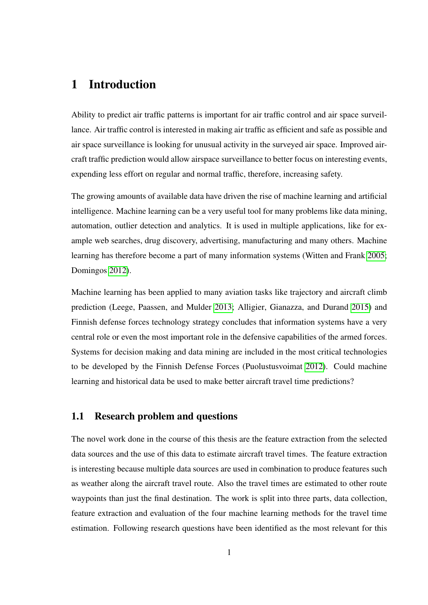## <span id="page-7-0"></span>1 Introduction

Ability to predict air traffic patterns is important for air traffic control and air space surveillance. Air traffic control is interested in making air traffic as efficient and safe as possible and air space surveillance is looking for unusual activity in the surveyed air space. Improved aircraft traffic prediction would allow airspace surveillance to better focus on interesting events, expending less effort on regular and normal traffic, therefore, increasing safety.

The growing amounts of available data have driven the rise of machine learning and artificial intelligence. Machine learning can be a very useful tool for many problems like data mining, automation, outlier detection and analytics. It is used in multiple applications, like for example web searches, drug discovery, advertising, manufacturing and many others. Machine learning has therefore become a part of many information systems (Witten and Frank [2005;](#page-57-0) Domingos [2012\)](#page-54-0).

Machine learning has been applied to many aviation tasks like trajectory and aircraft climb prediction (Leege, Paassen, and Mulder [2013;](#page-56-0) Alligier, Gianazza, and Durand [2015\)](#page-53-1) and Finnish defense forces technology strategy concludes that information systems have a very central role or even the most important role in the defensive capabilities of the armed forces. Systems for decision making and data mining are included in the most critical technologies to be developed by the Finnish Defense Forces (Puolustusvoimat [2012\)](#page-56-1). Could machine learning and historical data be used to make better aircraft travel time predictions?

## <span id="page-7-1"></span>1.1 Research problem and questions

The novel work done in the course of this thesis are the feature extraction from the selected data sources and the use of this data to estimate aircraft travel times. The feature extraction is interesting because multiple data sources are used in combination to produce features such as weather along the aircraft travel route. Also the travel times are estimated to other route waypoints than just the final destination. The work is split into three parts, data collection, feature extraction and evaluation of the four machine learning methods for the travel time estimation. Following research questions have been identified as the most relevant for this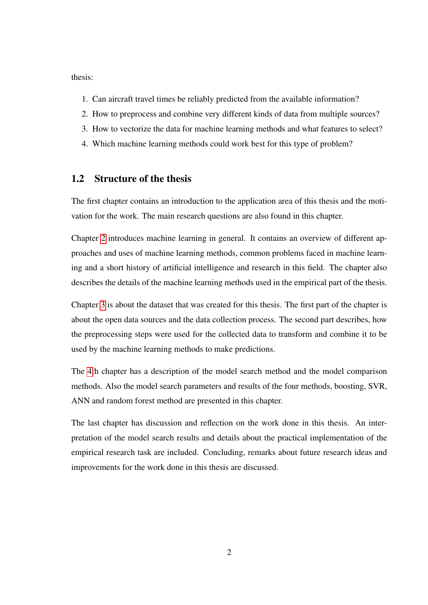thesis:

- 1. Can aircraft travel times be reliably predicted from the available information?
- 2. How to preprocess and combine very different kinds of data from multiple sources?
- 3. How to vectorize the data for machine learning methods and what features to select?
- 4. Which machine learning methods could work best for this type of problem?

## <span id="page-8-0"></span>1.2 Structure of the thesis

The first chapter contains an introduction to the application area of this thesis and the motivation for the work. The main research questions are also found in this chapter.

Chapter [2](#page-9-0) introduces machine learning in general. It contains an overview of different approaches and uses of machine learning methods, common problems faced in machine learning and a short history of artificial intelligence and research in this field. The chapter also describes the details of the machine learning methods used in the empirical part of the thesis.

Chapter [3](#page-24-0) is about the dataset that was created for this thesis. The first part of the chapter is about the open data sources and the data collection process. The second part describes, how the preprocessing steps were used for the collected data to transform and combine it to be used by the machine learning methods to make predictions.

The [4t](#page-39-0)h chapter has a description of the model search method and the model comparison methods. Also the model search parameters and results of the four methods, boosting, SVR, ANN and random forest method are presented in this chapter.

The last chapter has discussion and reflection on the work done in this thesis. An interpretation of the model search results and details about the practical implementation of the empirical research task are included. Concluding, remarks about future research ideas and improvements for the work done in this thesis are discussed.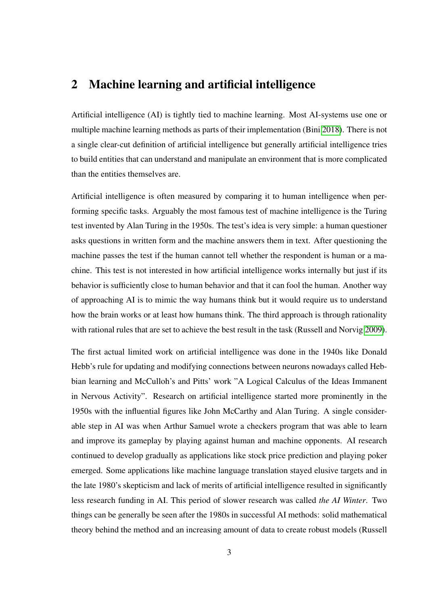## <span id="page-9-0"></span>2 Machine learning and artificial intelligence

Artificial intelligence (AI) is tightly tied to machine learning. Most AI-systems use one or multiple machine learning methods as parts of their implementation (Bini [2018\)](#page-53-2). There is not a single clear-cut definition of artificial intelligence but generally artificial intelligence tries to build entities that can understand and manipulate an environment that is more complicated than the entities themselves are.

Artificial intelligence is often measured by comparing it to human intelligence when performing specific tasks. Arguably the most famous test of machine intelligence is the Turing test invented by Alan Turing in the 1950s. The test's idea is very simple: a human questioner asks questions in written form and the machine answers them in text. After questioning the machine passes the test if the human cannot tell whether the respondent is human or a machine. This test is not interested in how artificial intelligence works internally but just if its behavior is sufficiently close to human behavior and that it can fool the human. Another way of approaching AI is to mimic the way humans think but it would require us to understand how the brain works or at least how humans think. The third approach is through rationality with rational rules that are set to achieve the best result in the task (Russell and Norvig [2009\)](#page-56-2).

The first actual limited work on artificial intelligence was done in the 1940s like Donald Hebb's rule for updating and modifying connections between neurons nowadays called Hebbian learning and McCulloh's and Pitts' work "A Logical Calculus of the Ideas Immanent in Nervous Activity". Research on artificial intelligence started more prominently in the 1950s with the influential figures like John McCarthy and Alan Turing. A single considerable step in AI was when Arthur Samuel wrote a checkers program that was able to learn and improve its gameplay by playing against human and machine opponents. AI research continued to develop gradually as applications like stock price prediction and playing poker emerged. Some applications like machine language translation stayed elusive targets and in the late 1980's skepticism and lack of merits of artificial intelligence resulted in significantly less research funding in AI. This period of slower research was called *the AI Winter*. Two things can be generally be seen after the 1980s in successful AI methods: solid mathematical theory behind the method and an increasing amount of data to create robust models (Russell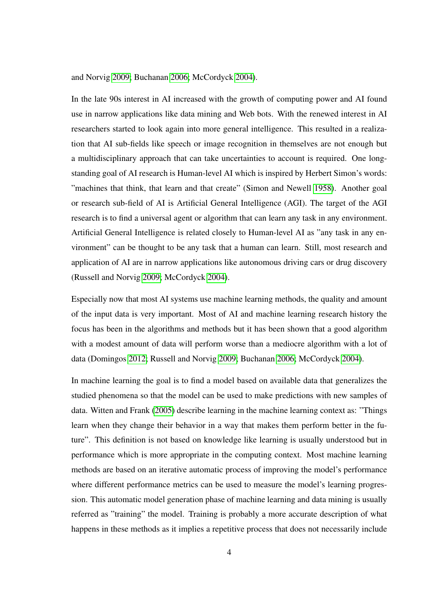and Norvig [2009;](#page-56-2) Buchanan [2006;](#page-54-1) McCordyck [2004\)](#page-56-3).

In the late 90s interest in AI increased with the growth of computing power and AI found use in narrow applications like data mining and Web bots. With the renewed interest in AI researchers started to look again into more general intelligence. This resulted in a realization that AI sub-fields like speech or image recognition in themselves are not enough but a multidisciplinary approach that can take uncertainties to account is required. One longstanding goal of AI research is Human-level AI which is inspired by Herbert Simon's words: "machines that think, that learn and that create" (Simon and Newell [1958\)](#page-57-1). Another goal or research sub-field of AI is Artificial General Intelligence (AGI). The target of the AGI research is to find a universal agent or algorithm that can learn any task in any environment. Artificial General Intelligence is related closely to Human-level AI as "any task in any environment" can be thought to be any task that a human can learn. Still, most research and application of AI are in narrow applications like autonomous driving cars or drug discovery (Russell and Norvig [2009;](#page-56-2) McCordyck [2004\)](#page-56-3).

Especially now that most AI systems use machine learning methods, the quality and amount of the input data is very important. Most of AI and machine learning research history the focus has been in the algorithms and methods but it has been shown that a good algorithm with a modest amount of data will perform worse than a mediocre algorithm with a lot of data (Domingos [2012;](#page-54-0) Russell and Norvig [2009;](#page-56-2) Buchanan [2006;](#page-54-1) McCordyck [2004\)](#page-56-3).

In machine learning the goal is to find a model based on available data that generalizes the studied phenomena so that the model can be used to make predictions with new samples of data. Witten and Frank [\(2005\)](#page-57-0) describe learning in the machine learning context as: "Things learn when they change their behavior in a way that makes them perform better in the future". This definition is not based on knowledge like learning is usually understood but in performance which is more appropriate in the computing context. Most machine learning methods are based on an iterative automatic process of improving the model's performance where different performance metrics can be used to measure the model's learning progression. This automatic model generation phase of machine learning and data mining is usually referred as "training" the model. Training is probably a more accurate description of what happens in these methods as it implies a repetitive process that does not necessarily include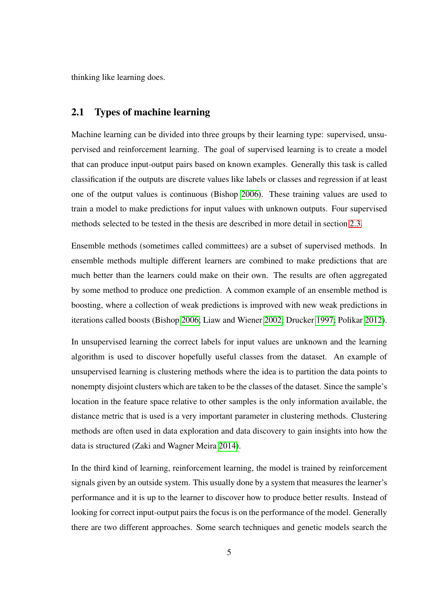thinking like learning does.

### <span id="page-11-0"></span>2.1 Types of machine learning

Machine learning can be divided into three groups by their learning type: supervised, unsupervised and reinforcement learning. The goal of supervised learning is to create a model that can produce input-output pairs based on known examples. Generally this task is called classification if the outputs are discrete values like labels or classes and regression if at least one of the output values is continuous (Bishop [2006\)](#page-54-2). These training values are used to train a model to make predictions for input values with unknown outputs. Four supervised methods selected to be tested in the thesis are described in more detail in section [2.3.](#page-13-0)

Ensemble methods (sometimes called committees) are a subset of supervised methods. In ensemble methods multiple different learners are combined to make predictions that are much better than the learners could make on their own. The results are often aggregated by some method to produce one prediction. A common example of an ensemble method is boosting, where a collection of weak predictions is improved with new weak predictions in iterations called boosts (Bishop [2006;](#page-54-2) Liaw and Wiener [2002;](#page-56-4) Drucker [1997;](#page-54-3) Polikar [2012\)](#page-56-5).

In unsupervised learning the correct labels for input values are unknown and the learning algorithm is used to discover hopefully useful classes from the dataset. An example of unsupervised learning is clustering methods where the idea is to partition the data points to nonempty disjoint clusters which are taken to be the classes of the dataset. Since the sample's location in the feature space relative to other samples is the only information available, the distance metric that is used is a very important parameter in clustering methods. Clustering methods are often used in data exploration and data discovery to gain insights into how the data is structured (Zaki and Wagner Meira [2014\)](#page-57-2).

In the third kind of learning, reinforcement learning, the model is trained by reinforcement signals given by an outside system. This usually done by a system that measures the learner's performance and it is up to the learner to discover how to produce better results. Instead of looking for correct input-output pairs the focus is on the performance of the model. Generally there are two different approaches. Some search techniques and genetic models search the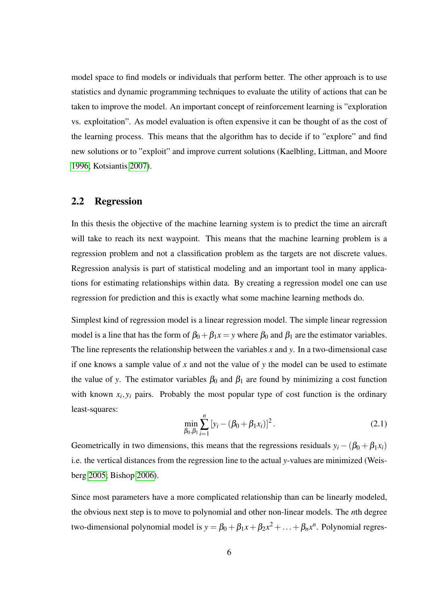model space to find models or individuals that perform better. The other approach is to use statistics and dynamic programming techniques to evaluate the utility of actions that can be taken to improve the model. An important concept of reinforcement learning is "exploration vs. exploitation". As model evaluation is often expensive it can be thought of as the cost of the learning process. This means that the algorithm has to decide if to "explore" and find new solutions or to "exploit" and improve current solutions (Kaelbling, Littman, and Moore [1996;](#page-55-0) Kotsiantis [2007\)](#page-56-6).

## <span id="page-12-0"></span>2.2 Regression

In this thesis the objective of the machine learning system is to predict the time an aircraft will take to reach its next waypoint. This means that the machine learning problem is a regression problem and not a classification problem as the targets are not discrete values. Regression analysis is part of statistical modeling and an important tool in many applications for estimating relationships within data. By creating a regression model one can use regression for prediction and this is exactly what some machine learning methods do.

Simplest kind of regression model is a linear regression model. The simple linear regression model is a line that has the form of  $\beta_0 + \beta_1 x = y$  where  $\beta_0$  and  $\beta_1$  are the estimator variables. The line represents the relationship between the variables *x* and *y*. In a two-dimensional case if one knows a sample value of *x* and not the value of *y* the model can be used to estimate the value of *y*. The estimator variables  $\beta_0$  and  $\beta_1$  are found by minimizing a cost function with known  $x_i, y_i$  pairs. Probably the most popular type of cost function is the ordinary least-squares:

$$
\min_{\beta_0, \beta_1} \sum_{i=1}^n \left[ y_i - (\beta_0 + \beta_1 x_i) \right]^2.
$$
 (2.1)

Geometrically in two dimensions, this means that the regressions residuals  $y_i - (\beta_0 + \beta_1 x_i)$ i.e. the vertical distances from the regression line to the actual *y*-values are minimized (Weisberg [2005;](#page-57-3) Bishop [2006\)](#page-54-2).

Since most parameters have a more complicated relationship than can be linearly modeled, the obvious next step is to move to polynomial and other non-linear models. The *n*th degree two-dimensional polynomial model is  $y = \beta_0 + \beta_1 x + \beta_2 x^2 + \ldots + \beta_n x^n$ . Polynomial regres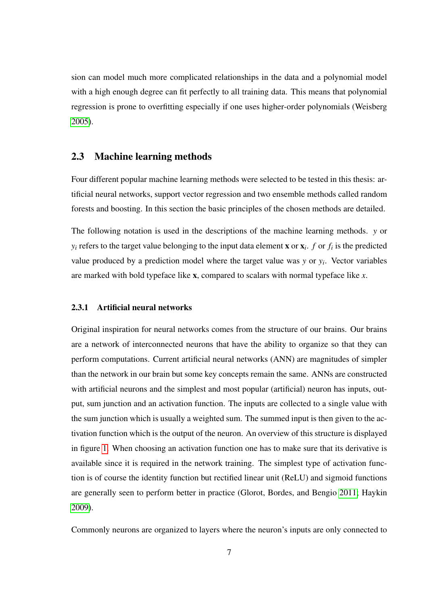sion can model much more complicated relationships in the data and a polynomial model with a high enough degree can fit perfectly to all training data. This means that polynomial regression is prone to overfitting especially if one uses higher-order polynomials (Weisberg [2005\)](#page-57-3).

## <span id="page-13-0"></span>2.3 Machine learning methods

Four different popular machine learning methods were selected to be tested in this thesis: artificial neural networks, support vector regression and two ensemble methods called random forests and boosting. In this section the basic principles of the chosen methods are detailed.

The following notation is used in the descriptions of the machine learning methods. *y* or  $y_i$  refers to the target value belonging to the input data element **x** or  $\mathbf{x}_i$ . *f* or  $f_i$  is the predicted value produced by a prediction model where the target value was  $y$  or  $y_i$ . Vector variables are marked with bold typeface like x, compared to scalars with normal typeface like *x*.

#### <span id="page-13-1"></span>2.3.1 Artificial neural networks

Original inspiration for neural networks comes from the structure of our brains. Our brains are a network of interconnected neurons that have the ability to organize so that they can perform computations. Current artificial neural networks (ANN) are magnitudes of simpler than the network in our brain but some key concepts remain the same. ANNs are constructed with artificial neurons and the simplest and most popular (artificial) neuron has inputs, output, sum junction and an activation function. The inputs are collected to a single value with the sum junction which is usually a weighted sum. The summed input is then given to the activation function which is the output of the neuron. An overview of this structure is displayed in figure [1.](#page-14-0) When choosing an activation function one has to make sure that its derivative is available since it is required in the network training. The simplest type of activation function is of course the identity function but rectified linear unit (ReLU) and sigmoid functions are generally seen to perform better in practice (Glorot, Bordes, and Bengio [2011;](#page-55-1) Haykin [2009\)](#page-55-2).

Commonly neurons are organized to layers where the neuron's inputs are only connected to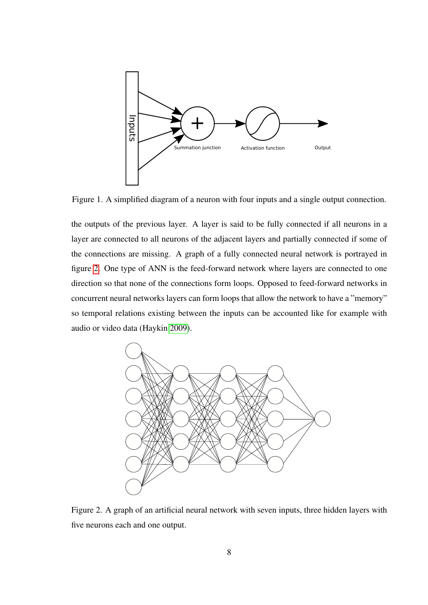

<span id="page-14-0"></span>Figure 1. A simplified diagram of a neuron with four inputs and a single output connection.

the outputs of the previous layer. A layer is said to be fully connected if all neurons in a layer are connected to all neurons of the adjacent layers and partially connected if some of the connections are missing. A graph of a fully connected neural network is portrayed in figure [2.](#page-14-1) One type of ANN is the feed-forward network where layers are connected to one direction so that none of the connections form loops. Opposed to feed-forward networks in concurrent neural networks layers can form loops that allow the network to have a "memory" so temporal relations existing between the inputs can be accounted like for example with audio or video data (Haykin [2009\)](#page-55-2).



<span id="page-14-1"></span>Figure 2. A graph of an artificial neural network with seven inputs, three hidden layers with five neurons each and one output.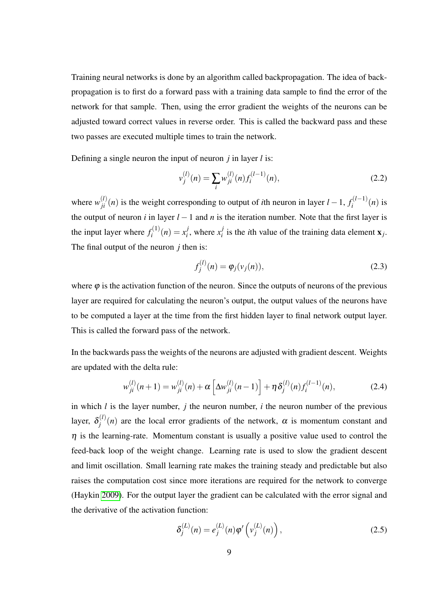Training neural networks is done by an algorithm called backpropagation. The idea of backpropagation is to first do a forward pass with a training data sample to find the error of the network for that sample. Then, using the error gradient the weights of the neurons can be adjusted toward correct values in reverse order. This is called the backward pass and these two passes are executed multiple times to train the network.

Defining a single neuron the input of neuron *j* in layer *l* is:

<span id="page-15-0"></span>
$$
v_j^{(l)}(n) = \sum_i w_{ji}^{(l)}(n) f_i^{(l-1)}(n),
$$
\n(2.2)

where  $w_{ji}^{(l)}(n)$  is the weight corresponding to output of *i*th neuron in layer  $l-1$ ,  $f_i^{(l-1)}$  $\int_{i}^{\mathfrak{e}(l-1)}(n)$  is the output of neuron *i* in layer  $l-1$  and *n* is the iteration number. Note that the first layer is the input layer where  $f_i^{(1)}$  $x_i^{(1)}(n) = x_i^j$  $\frac{j}{i}$ , where  $x_i^j$  $i_i$  is the *i*th value of the training data element  $\mathbf{x}_j$ . The final output of the neuron *j* then is:

<span id="page-15-1"></span>
$$
f_j^{(l)}(n) = \varphi_j(v_j(n)),
$$
\n(2.3)

where  $\varphi$  is the activation function of the neuron. Since the outputs of neurons of the previous layer are required for calculating the neuron's output, the output values of the neurons have to be computed a layer at the time from the first hidden layer to final network output layer. This is called the forward pass of the network.

In the backwards pass the weights of the neurons are adjusted with gradient descent. Weights are updated with the delta rule:

<span id="page-15-3"></span>
$$
w_{ji}^{(l)}(n+1) = w_{ji}^{(l)}(n) + \alpha \left[ \Delta w_{ji}^{(l)}(n-1) \right] + \eta \delta_j^{(l)}(n) f_i^{(l-1)}(n), \qquad (2.4)
$$

in which *l* is the layer number, *j* the neuron number, *i* the neuron number of the previous layer,  $\delta_i^{(l)}$  $j^{(l)}(n)$  are the local error gradients of the network,  $\alpha$  is momentum constant and  $\eta$  is the learning-rate. Momentum constant is usually a positive value used to control the feed-back loop of the weight change. Learning rate is used to slow the gradient descent and limit oscillation. Small learning rate makes the training steady and predictable but also raises the computation cost since more iterations are required for the network to converge (Haykin [2009\)](#page-55-2). For the output layer the gradient can be calculated with the error signal and the derivative of the activation function:

<span id="page-15-2"></span>
$$
\delta_j^{(L)}(n) = e_j^{(L)}(n)\varphi'\left(v_j^{(L)}(n)\right),\tag{2.5}
$$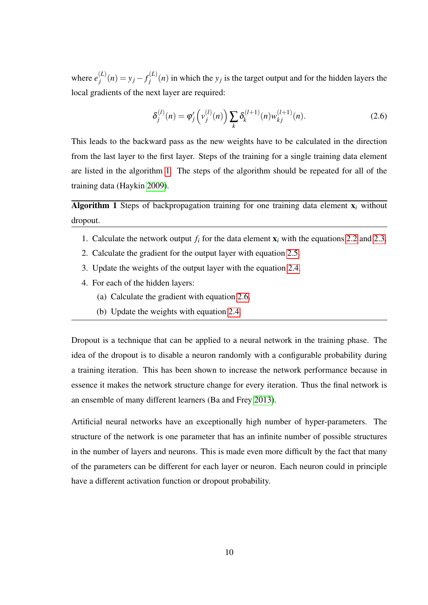where  $e_i^{(L)}$  $j_j^{(L)}(n) = y_j - f_j^{(L)}$  $j^{(L)}(n)$  in which the  $y_j$  is the target output and for the hidden layers the local gradients of the next layer are required:

<span id="page-16-1"></span>
$$
\delta_j^{(l)}(n) = \varphi_j'\left(v_j^{(l)}(n)\right) \sum_k \delta_k^{(l+1)}(n) w_{kj}^{(l+1)}(n). \tag{2.6}
$$

This leads to the backward pass as the new weights have to be calculated in the direction from the last layer to the first layer. Steps of the training for a single training data element are listed in the algorithm [1.](#page-16-0) The steps of the algorithm should be repeated for all of the training data (Haykin [2009\)](#page-55-2).

<span id="page-16-0"></span>**Algorithm 1** Steps of backpropagation training for one training data element  $x_i$  without dropout.

- 1. Calculate the network output  $f_i$  for the data element  $\mathbf{x}_i$  with the equations [2.2](#page-15-0) and [2.3.](#page-15-1)
- 2. Calculate the gradient for the output layer with equation [2.5.](#page-15-2)
- 3. Update the weights of the output layer with the equation [2.4.](#page-15-3)
- 4. For each of the hidden layers:
	- (a) Calculate the gradient with equation [2.6.](#page-16-1)
	- (b) Update the weights with equation [2.4.](#page-15-3)

Dropout is a technique that can be applied to a neural network in the training phase. The idea of the dropout is to disable a neuron randomly with a configurable probability during a training iteration. This has been shown to increase the network performance because in essence it makes the network structure change for every iteration. Thus the final network is an ensemble of many different learners (Ba and Frey [2013\)](#page-53-3).

Artificial neural networks have an exceptionally high number of hyper-parameters. The structure of the network is one parameter that has an infinite number of possible structures in the number of layers and neurons. This is made even more difficult by the fact that many of the parameters can be different for each layer or neuron. Each neuron could in principle have a different activation function or dropout probability.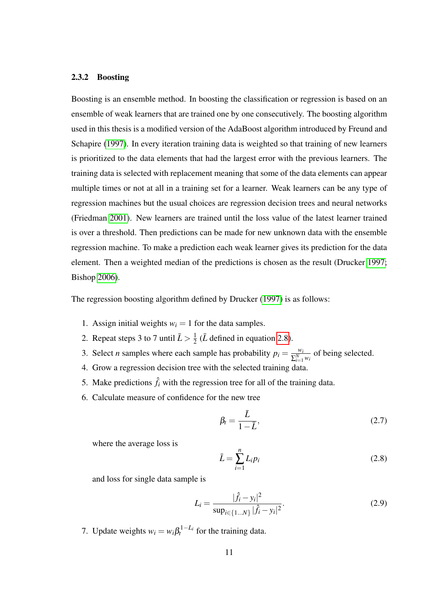#### <span id="page-17-0"></span>2.3.2 Boosting

Boosting is an ensemble method. In boosting the classification or regression is based on an ensemble of weak learners that are trained one by one consecutively. The boosting algorithm used in this thesis is a modified version of the AdaBoost algorithm introduced by Freund and Schapire [\(1997\)](#page-55-3). In every iteration training data is weighted so that training of new learners is prioritized to the data elements that had the largest error with the previous learners. The training data is selected with replacement meaning that some of the data elements can appear multiple times or not at all in a training set for a learner. Weak learners can be any type of regression machines but the usual choices are regression decision trees and neural networks (Friedman [2001\)](#page-55-4). New learners are trained until the loss value of the latest learner trained is over a threshold. Then predictions can be made for new unknown data with the ensemble regression machine. To make a prediction each weak learner gives its prediction for the data element. Then a weighted median of the predictions is chosen as the result (Drucker [1997;](#page-54-3) Bishop [2006\)](#page-54-2).

The regression boosting algorithm defined by Drucker [\(1997\)](#page-54-3) is as follows:

- 1. Assign initial weights  $w<sub>i</sub> = 1$  for the data samples.
- 2. Repeat steps 3 to 7 until  $\bar{L} > \frac{1}{2}$  $\frac{1}{2}$  ( $\overline{L}$  defined in equation [2.8\)](#page-17-1).
- 3. Select *n* samples where each sample has probability  $p_i = \frac{w_i}{\sqrt{N}}$  $\frac{w_i}{\sum_{i=1}^{N} w_i}$  of being selected.
- 4. Grow a regression decision tree with the selected training data.
- 5. Make predictions  $\hat{f}_i$  with the regression tree for all of the training data.
- 6. Calculate measure of confidence for the new tree

$$
\beta_t = \frac{\bar{L}}{1 - \bar{L}},\tag{2.7}
$$

where the average loss is

<span id="page-17-1"></span>
$$
\bar{L} = \sum_{i=1}^{n} L_i p_i \tag{2.8}
$$

and loss for single data sample is

$$
L_i = \frac{|\hat{f}_i - y_i|^2}{\sup_{i \in \{1...N\}} |\hat{f}_i - y_i|^2}.
$$
 (2.9)

7. Update weights  $w_i = w_i \beta_i^{1-L_i}$  for the training data.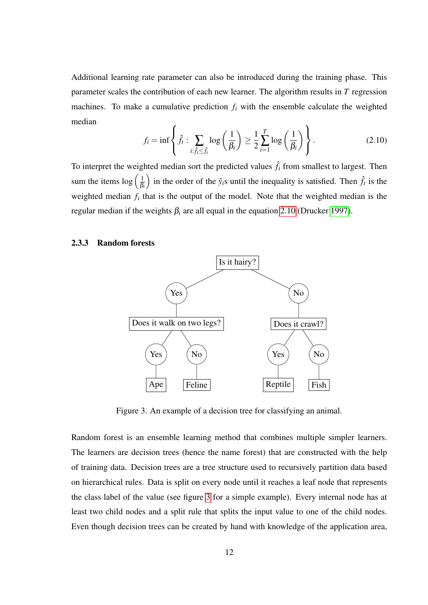Additional learning rate parameter can also be introduced during the training phase. This parameter scales the contribution of each new learner. The algorithm results in *T* regression machines. To make a cumulative prediction  $f_i$  with the ensemble calculate the weighted median

<span id="page-18-2"></span>
$$
f_i = \inf \left\{ \hat{f}_t : \sum_{i: \hat{f}_i \leq \hat{f}_i} \log \left( \frac{1}{\beta_i} \right) \geq \frac{1}{2} \sum_{i=1}^T \log \left( \frac{1}{\beta_i} \right) \right\}.
$$
 (2.10)

To interpret the weighted median sort the predicted values  $\hat{f}_i$  from smallest to largest. Then sum the items  $\log\left(\frac{1}{\beta}\right)$ β*i* ) in the order of the  $\hat{y}_i$ s until the inequality is satisfied. Then  $\hat{f}_t$  is the weighted median  $f_i$  that is the output of the model. Note that the weighted median is the regular median if the weights  $β<sub>i</sub>$  are all equal in the equation [2.10](#page-18-2) (Drucker [1997\)](#page-54-3).

#### <span id="page-18-1"></span>2.3.3 Random forests



<span id="page-18-0"></span>Figure 3. An example of a decision tree for classifying an animal.

Random forest is an ensemble learning method that combines multiple simpler learners. The learners are decision trees (hence the name forest) that are constructed with the help of training data. Decision trees are a tree structure used to recursively partition data based on hierarchical rules. Data is split on every node until it reaches a leaf node that represents the class label of the value (see figure [3](#page-18-0) for a simple example). Every internal node has at least two child nodes and a split rule that splits the input value to one of the child nodes. Even though decision trees can be created by hand with knowledge of the application area,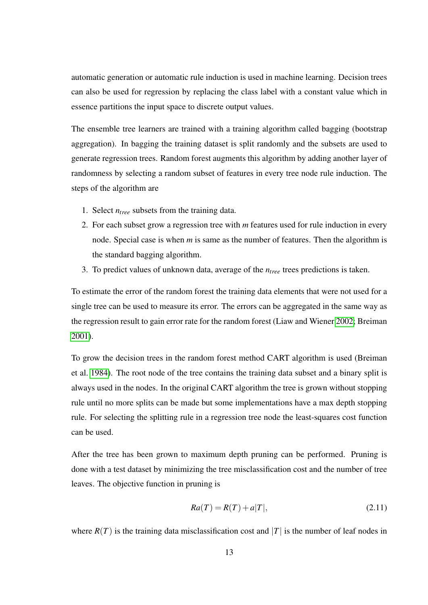automatic generation or automatic rule induction is used in machine learning. Decision trees can also be used for regression by replacing the class label with a constant value which in essence partitions the input space to discrete output values.

The ensemble tree learners are trained with a training algorithm called bagging (bootstrap aggregation). In bagging the training dataset is split randomly and the subsets are used to generate regression trees. Random forest augments this algorithm by adding another layer of randomness by selecting a random subset of features in every tree node rule induction. The steps of the algorithm are

- 1. Select *ntree* subsets from the training data.
- 2. For each subset grow a regression tree with *m* features used for rule induction in every node. Special case is when *m* is same as the number of features. Then the algorithm is the standard bagging algorithm.
- 3. To predict values of unknown data, average of the *ntree* trees predictions is taken.

To estimate the error of the random forest the training data elements that were not used for a single tree can be used to measure its error. The errors can be aggregated in the same way as the regression result to gain error rate for the random forest (Liaw and Wiener [2002;](#page-56-4) Breiman [2001\)](#page-54-4).

To grow the decision trees in the random forest method CART algorithm is used (Breiman et al. [1984\)](#page-54-5). The root node of the tree contains the training data subset and a binary split is always used in the nodes. In the original CART algorithm the tree is grown without stopping rule until no more splits can be made but some implementations have a max depth stopping rule. For selecting the splitting rule in a regression tree node the least-squares cost function can be used.

After the tree has been grown to maximum depth pruning can be performed. Pruning is done with a test dataset by minimizing the tree misclassification cost and the number of tree leaves. The objective function in pruning is

$$
Ra(T) = R(T) + a|T|,
$$
\n(2.11)

where  $R(T)$  is the training data misclassification cost and  $|T|$  is the number of leaf nodes in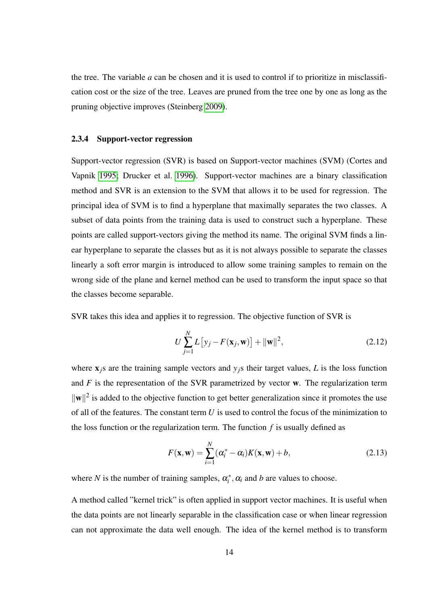the tree. The variable *a* can be chosen and it is used to control if to prioritize in misclassification cost or the size of the tree. Leaves are pruned from the tree one by one as long as the pruning objective improves (Steinberg [2009\)](#page-57-4).

#### <span id="page-20-0"></span>2.3.4 Support-vector regression

Support-vector regression (SVR) is based on Support-vector machines (SVM) (Cortes and Vapnik [1995;](#page-54-6) Drucker et al. [1996\)](#page-54-7). Support-vector machines are a binary classification method and SVR is an extension to the SVM that allows it to be used for regression. The principal idea of SVM is to find a hyperplane that maximally separates the two classes. A subset of data points from the training data is used to construct such a hyperplane. These points are called support-vectors giving the method its name. The original SVM finds a linear hyperplane to separate the classes but as it is not always possible to separate the classes linearly a soft error margin is introduced to allow some training samples to remain on the wrong side of the plane and kernel method can be used to transform the input space so that the classes become separable.

SVR takes this idea and applies it to regression. The objective function of SVR is

<span id="page-20-2"></span>
$$
U\sum_{j=1}^{N} L\left[y_j - F(\mathbf{x}_j, \mathbf{w})\right] + ||\mathbf{w}||^2, \qquad (2.12)
$$

where  $x_j$ s are the training sample vectors and  $y_j$ s their target values, *L* is the loss function and  $F$  is the representation of the SVR parametrized by vector  $w$ . The regularization term  $\|\mathbf{w}\|^2$  is added to the objective function to get better generalization since it promotes the use of all of the features. The constant term *U* is used to control the focus of the minimization to the loss function or the regularization term. The function  $f$  is usually defined as

<span id="page-20-1"></span>
$$
F(\mathbf{x}, \mathbf{w}) = \sum_{i=1}^{N} (\alpha_i^* - \alpha_i) K(\mathbf{x}, \mathbf{w}) + b,
$$
 (2.13)

where *N* is the number of training samples,  $\alpha_i^*$ ,  $\alpha_i$  and *b* are values to choose.

A method called "kernel trick" is often applied in support vector machines. It is useful when the data points are not linearly separable in the classification case or when linear regression can not approximate the data well enough. The idea of the kernel method is to transform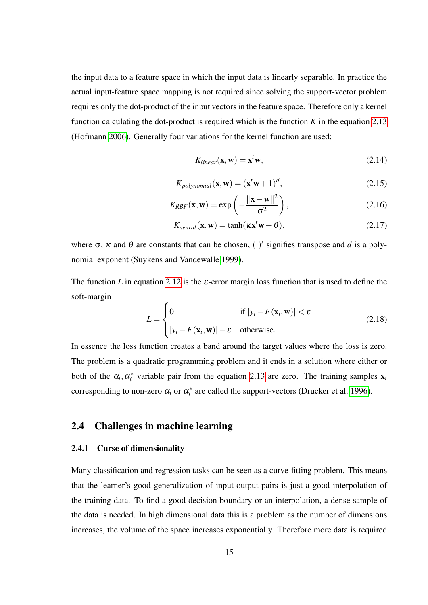the input data to a feature space in which the input data is linearly separable. In practice the actual input-feature space mapping is not required since solving the support-vector problem requires only the dot-product of the input vectors in the feature space. Therefore only a kernel function calculating the dot-product is required which is the function  $K$  in the equation [2.13](#page-20-1) (Hofmann [2006\)](#page-55-5). Generally four variations for the kernel function are used:

$$
K_{linear}(\mathbf{x}, \mathbf{w}) = \mathbf{x}^t \mathbf{w},\tag{2.14}
$$

$$
K_{polynomial}(\mathbf{x}, \mathbf{w}) = (\mathbf{x}^t \mathbf{w} + 1)^d, \tag{2.15}
$$

$$
K_{RBF}(\mathbf{x}, \mathbf{w}) = \exp\left(-\frac{\|\mathbf{x} - \mathbf{w}\|^2}{\sigma^2}\right),\tag{2.16}
$$

$$
K_{neutral}(\mathbf{x}, \mathbf{w}) = \tanh(\kappa \mathbf{x}^t \mathbf{w} + \theta), \tag{2.17}
$$

where  $\sigma$ ,  $\kappa$  and  $\theta$  are constants that can be chosen,  $(\cdot)^t$  signifies transpose and *d* is a polynomial exponent (Suykens and Vandewalle [1999\)](#page-57-5).

The function *L* in equation [2.12](#page-20-2) is the  $\varepsilon$ -error margin loss function that is used to define the soft-margin  $\overline{ }$ 

$$
L = \begin{cases} 0 & \text{if } |y_i - F(\mathbf{x}_i, \mathbf{w})| < \varepsilon \\ |y_i - F(\mathbf{x}_i, \mathbf{w})| - \varepsilon & \text{otherwise.} \end{cases}
$$
 (2.18)

In essence the loss function creates a band around the target values where the loss is zero. The problem is a quadratic programming problem and it ends in a solution where either or both of the  $\alpha_i, \alpha_i^*$  variable pair from the equation [2.13](#page-20-1) are zero. The training samples  $\mathbf{x}_i$ corresponding to non-zero  $\alpha_i$  or  $\alpha_i^*$  are called the support-vectors (Drucker et al. [1996\)](#page-54-7).

### <span id="page-21-1"></span><span id="page-21-0"></span>2.4 Challenges in machine learning

#### 2.4.1 Curse of dimensionality

Many classification and regression tasks can be seen as a curve-fitting problem. This means that the learner's good generalization of input-output pairs is just a good interpolation of the training data. To find a good decision boundary or an interpolation, a dense sample of the data is needed. In high dimensional data this is a problem as the number of dimensions increases, the volume of the space increases exponentially. Therefore more data is required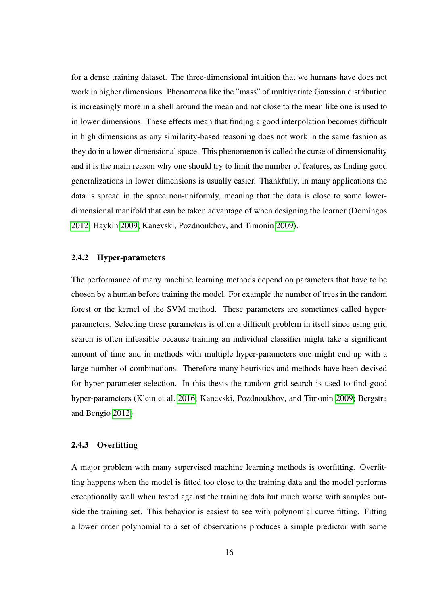for a dense training dataset. The three-dimensional intuition that we humans have does not work in higher dimensions. Phenomena like the "mass" of multivariate Gaussian distribution is increasingly more in a shell around the mean and not close to the mean like one is used to in lower dimensions. These effects mean that finding a good interpolation becomes difficult in high dimensions as any similarity-based reasoning does not work in the same fashion as they do in a lower-dimensional space. This phenomenon is called the curse of dimensionality and it is the main reason why one should try to limit the number of features, as finding good generalizations in lower dimensions is usually easier. Thankfully, in many applications the data is spread in the space non-uniformly, meaning that the data is close to some lowerdimensional manifold that can be taken advantage of when designing the learner (Domingos [2012;](#page-54-0) Haykin [2009;](#page-55-2) Kanevski, Pozdnoukhov, and Timonin [2009\)](#page-55-6).

#### <span id="page-22-0"></span>2.4.2 Hyper-parameters

The performance of many machine learning methods depend on parameters that have to be chosen by a human before training the model. For example the number of trees in the random forest or the kernel of the SVM method. These parameters are sometimes called hyperparameters. Selecting these parameters is often a difficult problem in itself since using grid search is often infeasible because training an individual classifier might take a significant amount of time and in methods with multiple hyper-parameters one might end up with a large number of combinations. Therefore many heuristics and methods have been devised for hyper-parameter selection. In this thesis the random grid search is used to find good hyper-parameters (Klein et al. [2016;](#page-55-7) Kanevski, Pozdnoukhov, and Timonin [2009;](#page-55-6) Bergstra and Bengio [2012\)](#page-53-4).

#### <span id="page-22-1"></span>2.4.3 Overfitting

A major problem with many supervised machine learning methods is overfitting. Overfitting happens when the model is fitted too close to the training data and the model performs exceptionally well when tested against the training data but much worse with samples outside the training set. This behavior is easiest to see with polynomial curve fitting. Fitting a lower order polynomial to a set of observations produces a simple predictor with some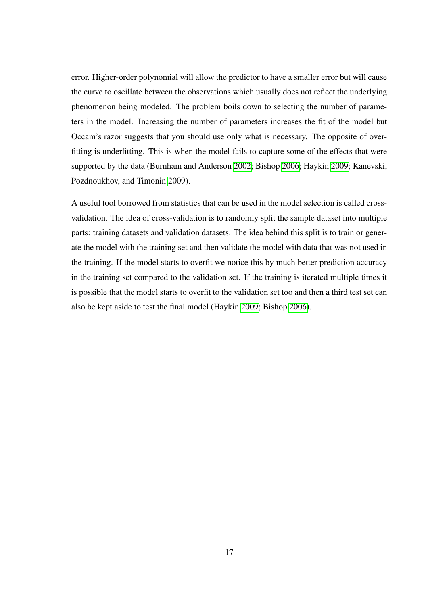error. Higher-order polynomial will allow the predictor to have a smaller error but will cause the curve to oscillate between the observations which usually does not reflect the underlying phenomenon being modeled. The problem boils down to selecting the number of parameters in the model. Increasing the number of parameters increases the fit of the model but Occam's razor suggests that you should use only what is necessary. The opposite of overfitting is underfitting. This is when the model fails to capture some of the effects that were supported by the data (Burnham and Anderson [2002;](#page-54-8) Bishop [2006;](#page-54-2) Haykin [2009;](#page-55-2) Kanevski, Pozdnoukhov, and Timonin [2009\)](#page-55-6).

A useful tool borrowed from statistics that can be used in the model selection is called crossvalidation. The idea of cross-validation is to randomly split the sample dataset into multiple parts: training datasets and validation datasets. The idea behind this split is to train or generate the model with the training set and then validate the model with data that was not used in the training. If the model starts to overfit we notice this by much better prediction accuracy in the training set compared to the validation set. If the training is iterated multiple times it is possible that the model starts to overfit to the validation set too and then a third test set can also be kept aside to test the final model (Haykin [2009;](#page-55-2) Bishop [2006\)](#page-54-2).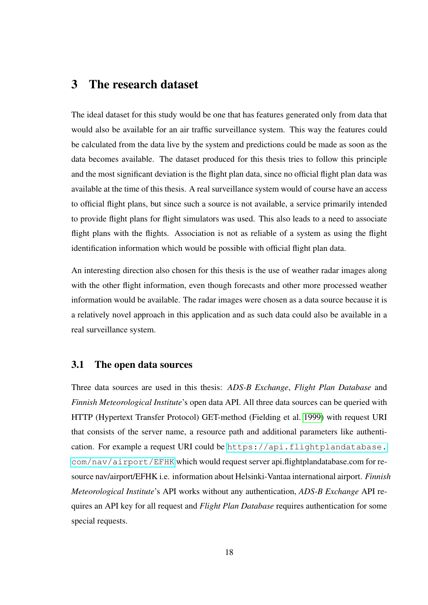## <span id="page-24-0"></span>3 The research dataset

The ideal dataset for this study would be one that has features generated only from data that would also be available for an air traffic surveillance system. This way the features could be calculated from the data live by the system and predictions could be made as soon as the data becomes available. The dataset produced for this thesis tries to follow this principle and the most significant deviation is the flight plan data, since no official flight plan data was available at the time of this thesis. A real surveillance system would of course have an access to official flight plans, but since such a source is not available, a service primarily intended to provide flight plans for flight simulators was used. This also leads to a need to associate flight plans with the flights. Association is not as reliable of a system as using the flight identification information which would be possible with official flight plan data.

An interesting direction also chosen for this thesis is the use of weather radar images along with the other flight information, even though forecasts and other more processed weather information would be available. The radar images were chosen as a data source because it is a relatively novel approach in this application and as such data could also be available in a real surveillance system.

### <span id="page-24-1"></span>3.1 The open data sources

Three data sources are used in this thesis: *ADS-B Exchange*, *Flight Plan Database* and *Finnish Meteorological Institute*'s open data API. All three data sources can be queried with HTTP (Hypertext Transfer Protocol) GET-method (Fielding et al. [1999\)](#page-55-8) with request URI that consists of the server name, a resource path and additional parameters like authentication. For example a request URI could be [https://api.flightplandatabase.](https://api.flightplandatabase.com/nav/airport/EFHK) [com/nav/airport/EFHK](https://api.flightplandatabase.com/nav/airport/EFHK) which would request server api.flightplandatabase.com for resource nav/airport/EFHK i.e. information about Helsinki-Vantaa international airport. *Finnish Meteorological Institute*'s API works without any authentication, *ADS-B Exchange* API requires an API key for all request and *Flight Plan Database* requires authentication for some special requests.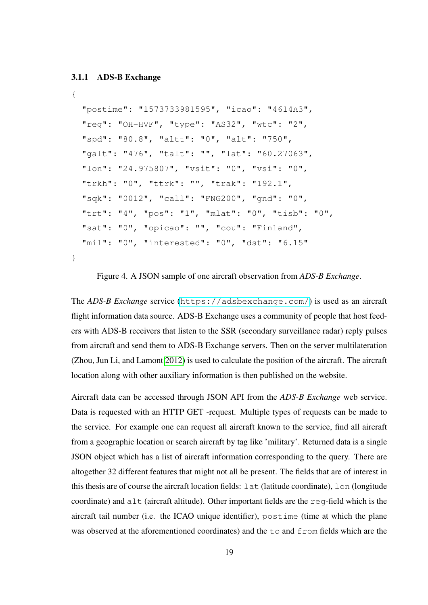#### <span id="page-25-1"></span>3.1.1 ADS-B Exchange

```
{
  "postime": "1573733981595", "icao": "4614A3",
  "reg": "OH-HVF", "type": "AS32", "wtc": "2",
  "spd": "80.8", "altt": "0", "alt": "750",
  "galt": "476", "talt": "", "lat": "60.27063",
  "lon": "24.975807", "vsit": "0", "vsi": "0",
  "trkh": "0", "ttrk": "", "trak": "192.1",
  "sqk": "0012", "call": "FNG200", "gnd": "0",
  "trt": "4", "pos": "1", "mlat": "0", "tisb": "0",
  "sat": "0", "opicao": "", "cou": "Finland",
  "mil": "0", "interested": "0", "dst": "6.15"
}
```
<span id="page-25-0"></span>Figure 4. A JSON sample of one aircraft observation from *ADS-B Exchange*.

The *ADS-B Exchange* service (<https://adsbexchange.com/>) is used as an aircraft flight information data source. ADS-B Exchange uses a community of people that host feeders with ADS-B receivers that listen to the SSR (secondary surveillance radar) reply pulses from aircraft and send them to ADS-B Exchange servers. Then on the server multilateration (Zhou, Jun Li, and Lamont [2012\)](#page-57-6) is used to calculate the position of the aircraft. The aircraft location along with other auxiliary information is then published on the website.

Aircraft data can be accessed through JSON API from the *ADS-B Exchange* web service. Data is requested with an HTTP GET -request. Multiple types of requests can be made to the service. For example one can request all aircraft known to the service, find all aircraft from a geographic location or search aircraft by tag like 'military'. Returned data is a single JSON object which has a list of aircraft information corresponding to the query. There are altogether 32 different features that might not all be present. The fields that are of interest in this thesis are of course the aircraft location fields: lat (latitude coordinate), lon (longitude coordinate) and  $a \perp t$  (aircraft altitude). Other important fields are the reg-field which is the aircraft tail number (i.e. the ICAO unique identifier), postime (time at which the plane was observed at the aforementioned coordinates) and the to and from fields which are the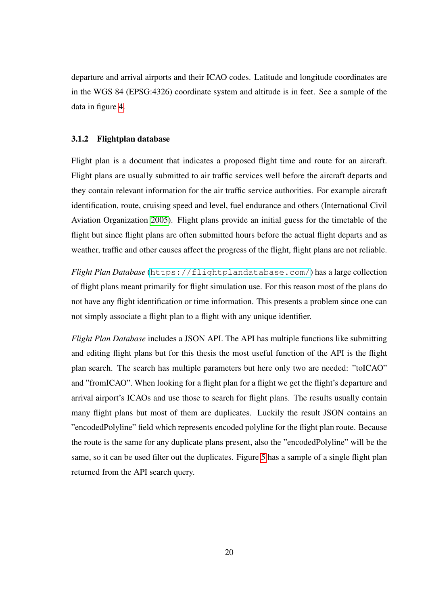departure and arrival airports and their ICAO codes. Latitude and longitude coordinates are in the WGS 84 (EPSG:4326) coordinate system and altitude is in feet. See a sample of the data in figure [4.](#page-25-0)

#### <span id="page-26-0"></span>3.1.2 Flightplan database

Flight plan is a document that indicates a proposed flight time and route for an aircraft. Flight plans are usually submitted to air traffic services well before the aircraft departs and they contain relevant information for the air traffic service authorities. For example aircraft identification, route, cruising speed and level, fuel endurance and others (International Civil Aviation Organization [2005\)](#page-55-9). Flight plans provide an initial guess for the timetable of the flight but since flight plans are often submitted hours before the actual flight departs and as weather, traffic and other causes affect the progress of the flight, flight plans are not reliable.

*Flight Plan Database* (<https://flightplandatabase.com/>) has a large collection of flight plans meant primarily for flight simulation use. For this reason most of the plans do not have any flight identification or time information. This presents a problem since one can not simply associate a flight plan to a flight with any unique identifier.

*Flight Plan Database* includes a JSON API. The API has multiple functions like submitting and editing flight plans but for this thesis the most useful function of the API is the flight plan search. The search has multiple parameters but here only two are needed: "toICAO" and "fromICAO". When looking for a flight plan for a flight we get the flight's departure and arrival airport's ICAOs and use those to search for flight plans. The results usually contain many flight plans but most of them are duplicates. Luckily the result JSON contains an "encodedPolyline" field which represents encoded polyline for the flight plan route. Because the route is the same for any duplicate plans present, also the "encodedPolyline" will be the same, so it can be used filter out the duplicates. Figure [5](#page-27-0) has a sample of a single flight plan returned from the API search query.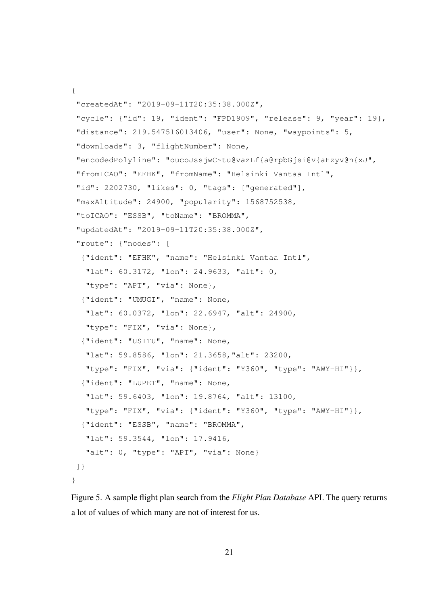```
{
 "createdAt": "2019-09-11T20:35:38.000Z",
 "cycle": {"id": 19, "ident": "FPD1909", "release": 9, "year": 19},
 "distance": 219.547516013406, "user": None, "waypoints": 5,
 "downloads": 3, "flightNumber": None,
 "encodedPolyline": "oucoJssjwC~tu@vazLf{a@rpbGjsi@v{aHzyv@n{xJ",
 "fromICAO": "EFHK", "fromName": "Helsinki Vantaa Intl",
 "id": 2202730, "likes": 0, "tags": ["generated"],
 "maxAltitude": 24900, "popularity": 1568752538,
 "toICAO": "ESSB", "toName": "BROMMA",
 "updatedAt": "2019-09-11T20:35:38.000Z",
 "route": {"nodes": [
  {"ident": "EFHK", "name": "Helsinki Vantaa Intl",
   "lat": 60.3172, "lon": 24.9633, "alt": 0,
   "type": "APT", "via": None},
  {"ident": "UMUGI", "name": None,
   "lat": 60.0372, "lon": 22.6947, "alt": 24900,
   "type": "FIX", "via": None},
  {"ident": "USITU", "name": None,
   "lat": 59.8586, "lon": 21.3658,"alt": 23200,
   "type": "FIX", "via": {"ident": "Y360", "type": "AWY-HI"}},
  {"ident": "LUPET", "name": None,
   "lat": 59.6403, "lon": 19.8764, "alt": 13100,
   "type": "FIX", "via": {"ident": "Y360", "type": "AWY-HI"}},
  {"ident": "ESSB", "name": "BROMMA",
   "lat": 59.3544, "lon": 17.9416,
  "alt": 0, "type": "APT", "via": None}
]}
}
```
<span id="page-27-0"></span>Figure 5. A sample flight plan search from the *Flight Plan Database* API. The query returns a lot of values of which many are not of interest for us.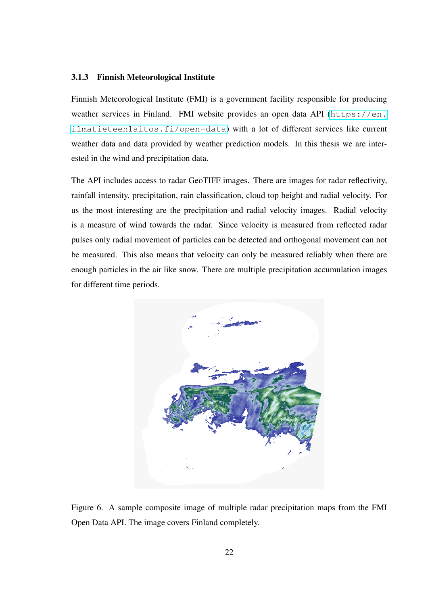#### <span id="page-28-1"></span>3.1.3 Finnish Meteorological Institute

Finnish Meteorological Institute (FMI) is a government facility responsible for producing weather services in Finland. FMI website provides an open data API ([https://en.](https://en.ilmatieteenlaitos.fi/open-data) [ilmatieteenlaitos.fi/open-data](https://en.ilmatieteenlaitos.fi/open-data)) with a lot of different services like current weather data and data provided by weather prediction models. In this thesis we are interested in the wind and precipitation data.

The API includes access to radar GeoTIFF images. There are images for radar reflectivity, rainfall intensity, precipitation, rain classification, cloud top height and radial velocity. For us the most interesting are the precipitation and radial velocity images. Radial velocity is a measure of wind towards the radar. Since velocity is measured from reflected radar pulses only radial movement of particles can be detected and orthogonal movement can not be measured. This also means that velocity can only be measured reliably when there are enough particles in the air like snow. There are multiple precipitation accumulation images for different time periods.

<span id="page-28-0"></span>

Figure 6. A sample composite image of multiple radar precipitation maps from the FMI Open Data API. The image covers Finland completely.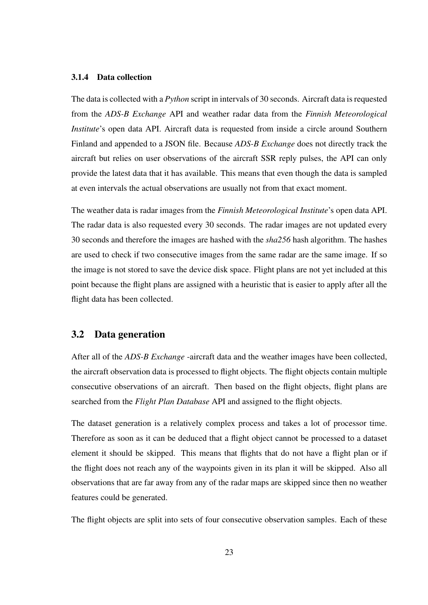#### <span id="page-29-0"></span>3.1.4 Data collection

The data is collected with a *Python* script in intervals of 30 seconds. Aircraft data is requested from the *ADS-B Exchange* API and weather radar data from the *Finnish Meteorological Institute*'s open data API. Aircraft data is requested from inside a circle around Southern Finland and appended to a JSON file. Because *ADS-B Exchange* does not directly track the aircraft but relies on user observations of the aircraft SSR reply pulses, the API can only provide the latest data that it has available. This means that even though the data is sampled at even intervals the actual observations are usually not from that exact moment.

The weather data is radar images from the *Finnish Meteorological Institute*'s open data API. The radar data is also requested every 30 seconds. The radar images are not updated every 30 seconds and therefore the images are hashed with the *sha256* hash algorithm. The hashes are used to check if two consecutive images from the same radar are the same image. If so the image is not stored to save the device disk space. Flight plans are not yet included at this point because the flight plans are assigned with a heuristic that is easier to apply after all the flight data has been collected.

## <span id="page-29-1"></span>3.2 Data generation

After all of the *ADS-B Exchange* -aircraft data and the weather images have been collected, the aircraft observation data is processed to flight objects. The flight objects contain multiple consecutive observations of an aircraft. Then based on the flight objects, flight plans are searched from the *Flight Plan Database* API and assigned to the flight objects.

The dataset generation is a relatively complex process and takes a lot of processor time. Therefore as soon as it can be deduced that a flight object cannot be processed to a dataset element it should be skipped. This means that flights that do not have a flight plan or if the flight does not reach any of the waypoints given in its plan it will be skipped. Also all observations that are far away from any of the radar maps are skipped since then no weather features could be generated.

The flight objects are split into sets of four consecutive observation samples. Each of these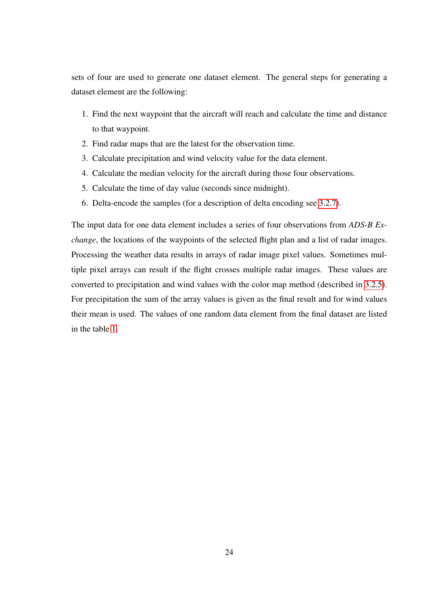sets of four are used to generate one dataset element. The general steps for generating a dataset element are the following:

- 1. Find the next waypoint that the aircraft will reach and calculate the time and distance to that waypoint.
- 2. Find radar maps that are the latest for the observation time.
- 3. Calculate precipitation and wind velocity value for the data element.
- 4. Calculate the median velocity for the aircraft during those four observations.
- 5. Calculate the time of day value (seconds since midnight).
- 6. Delta-encode the samples (for a description of delta encoding see [3.2.7\)](#page-36-1).

The input data for one data element includes a series of four observations from *ADS-B Exchange*, the locations of the waypoints of the selected flight plan and a list of radar images. Processing the weather data results in arrays of radar image pixel values. Sometimes multiple pixel arrays can result if the flight crosses multiple radar images. These values are converted to precipitation and wind values with the color map method (described in [3.2.5\)](#page-34-0). For precipitation the sum of the array values is given as the final result and for wind values their mean is used. The values of one random data element from the final dataset are listed in the table [1.](#page-31-0)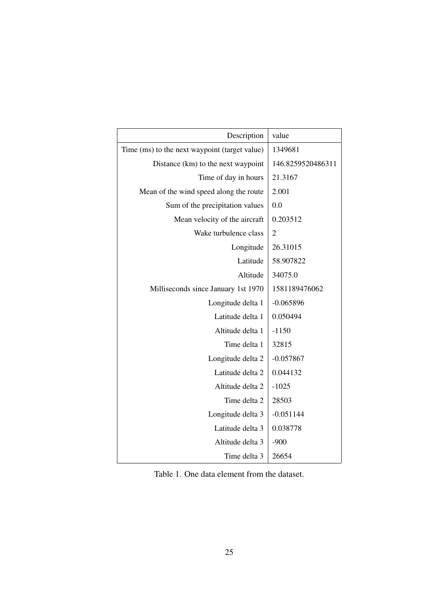| Description                                   | value             |
|-----------------------------------------------|-------------------|
| Time (ms) to the next waypoint (target value) | 1349681           |
| Distance (km) to the next waypoint            | 146.8259520486311 |
| Time of day in hours                          | 21.3167           |
| Mean of the wind speed along the route        | 2.001             |
| Sum of the precipitation values               | 0.0               |
| Mean velocity of the aircraft                 | 0.203512          |
| Wake turbulence class                         | $\overline{2}$    |
| Longitude                                     | 26.31015          |
| Latitude                                      | 58.907822         |
| Altitude                                      | 34075.0           |
| Milliseconds since January 1st 1970           | 1581189476062     |
| Longitude delta 1                             | $-0.065896$       |
| Latitude delta 1                              | 0.050494          |
| Altitude delta 1                              | $-1150$           |
| Time delta 1                                  | 32815             |
| Longitude delta 2                             | $-0.057867$       |
| Latitude delta 2                              | 0.044132          |
| Altitude delta 2                              | $-1025$           |
| Time delta 2                                  | 28503             |
| Longitude delta 3                             | $-0.051144$       |
| Latitude delta 3                              | 0.038778          |
| Altitude delta 3                              | $-900$            |
| Time delta 3                                  | 26654             |

<span id="page-31-0"></span>Table 1. One data element from the dataset.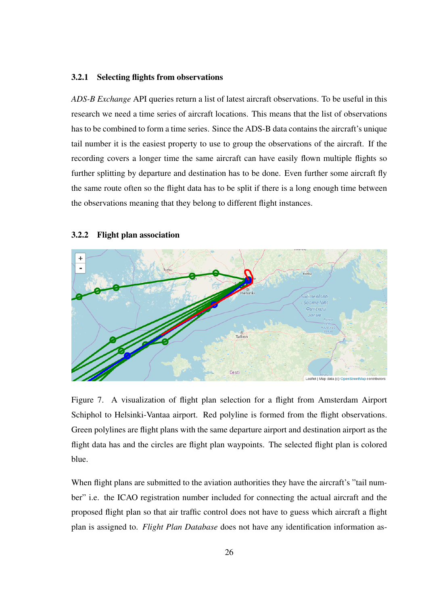#### <span id="page-32-1"></span>3.2.1 Selecting flights from observations

*ADS-B Exchange* API queries return a list of latest aircraft observations. To be useful in this research we need a time series of aircraft locations. This means that the list of observations has to be combined to form a time series. Since the ADS-B data contains the aircraft's unique tail number it is the easiest property to use to group the observations of the aircraft. If the recording covers a longer time the same aircraft can have easily flown multiple flights so further splitting by departure and destination has to be done. Even further some aircraft fly the same route often so the flight data has to be split if there is a long enough time between the observations meaning that they belong to different flight instances.



#### <span id="page-32-2"></span>3.2.2 Flight plan association

<span id="page-32-0"></span>Figure 7. A visualization of flight plan selection for a flight from Amsterdam Airport Schiphol to Helsinki-Vantaa airport. Red polyline is formed from the flight observations. Green polylines are flight plans with the same departure airport and destination airport as the flight data has and the circles are flight plan waypoints. The selected flight plan is colored blue.

When flight plans are submitted to the aviation authorities they have the aircraft's "tail number" i.e. the ICAO registration number included for connecting the actual aircraft and the proposed flight plan so that air traffic control does not have to guess which aircraft a flight plan is assigned to. *Flight Plan Database* does not have any identification information as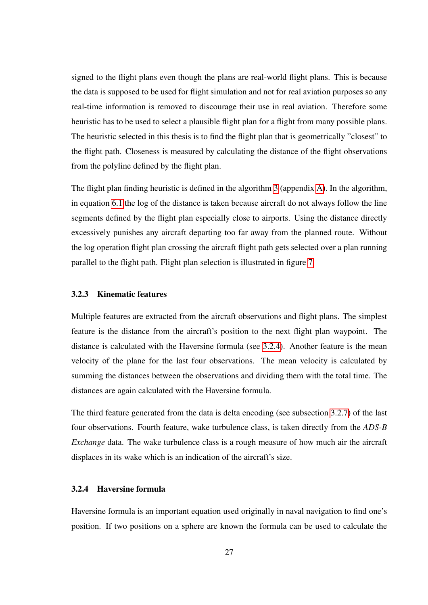signed to the flight plans even though the plans are real-world flight plans. This is because the data is supposed to be used for flight simulation and not for real aviation purposes so any real-time information is removed to discourage their use in real aviation. Therefore some heuristic has to be used to select a plausible flight plan for a flight from many possible plans. The heuristic selected in this thesis is to find the flight plan that is geometrically "closest" to the flight path. Closeness is measured by calculating the distance of the flight observations from the polyline defined by the flight plan.

The flight plan finding heuristic is defined in the algorithm [3](#page-58-1) (appendix [A\)](#page-58-0). In the algorithm, in equation [6.1](#page-58-2) the log of the distance is taken because aircraft do not always follow the line segments defined by the flight plan especially close to airports. Using the distance directly excessively punishes any aircraft departing too far away from the planned route. Without the log operation flight plan crossing the aircraft flight path gets selected over a plan running parallel to the flight path. Flight plan selection is illustrated in figure [7.](#page-32-0)

#### <span id="page-33-0"></span>3.2.3 Kinematic features

Multiple features are extracted from the aircraft observations and flight plans. The simplest feature is the distance from the aircraft's position to the next flight plan waypoint. The distance is calculated with the Haversine formula (see [3.2.4\)](#page-33-1). Another feature is the mean velocity of the plane for the last four observations. The mean velocity is calculated by summing the distances between the observations and dividing them with the total time. The distances are again calculated with the Haversine formula.

The third feature generated from the data is delta encoding (see subsection [3.2.7\)](#page-36-1) of the last four observations. Fourth feature, wake turbulence class, is taken directly from the *ADS-B Exchange* data. The wake turbulence class is a rough measure of how much air the aircraft displaces in its wake which is an indication of the aircraft's size.

#### <span id="page-33-1"></span>3.2.4 Haversine formula

Haversine formula is an important equation used originally in naval navigation to find one's position. If two positions on a sphere are known the formula can be used to calculate the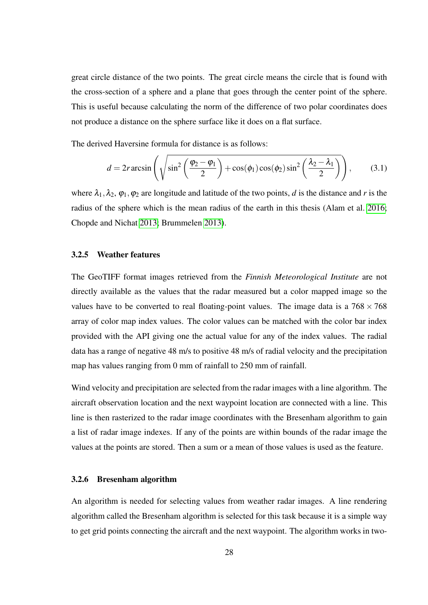great circle distance of the two points. The great circle means the circle that is found with the cross-section of a sphere and a plane that goes through the center point of the sphere. This is useful because calculating the norm of the difference of two polar coordinates does not produce a distance on the sphere surface like it does on a flat surface.

The derived Haversine formula for distance is as follows:

$$
d = 2r \arcsin\left(\sqrt{\sin^2\left(\frac{\varphi_2 - \varphi_1}{2}\right) + \cos(\phi_1)\cos(\phi_2)\sin^2\left(\frac{\lambda_2 - \lambda_1}{2}\right)}\right),\tag{3.1}
$$

where  $\lambda_1, \lambda_2, \varphi_1, \varphi_2$  are longitude and latitude of the two points, *d* is the distance and *r* is the radius of the sphere which is the mean radius of the earth in this thesis (Alam et al. [2016;](#page-53-5) Chopde and Nichat [2013;](#page-54-9) Brummelen [2013\)](#page-54-10).

#### <span id="page-34-0"></span>3.2.5 Weather features

The GeoTIFF format images retrieved from the *Finnish Meteorological Institute* are not directly available as the values that the radar measured but a color mapped image so the values have to be converted to real floating-point values. The image data is a  $768 \times 768$ array of color map index values. The color values can be matched with the color bar index provided with the API giving one the actual value for any of the index values. The radial data has a range of negative 48 m/s to positive 48 m/s of radial velocity and the precipitation map has values ranging from 0 mm of rainfall to 250 mm of rainfall.

Wind velocity and precipitation are selected from the radar images with a line algorithm. The aircraft observation location and the next waypoint location are connected with a line. This line is then rasterized to the radar image coordinates with the Bresenham algorithm to gain a list of radar image indexes. If any of the points are within bounds of the radar image the values at the points are stored. Then a sum or a mean of those values is used as the feature.

#### <span id="page-34-1"></span>3.2.6 Bresenham algorithm

An algorithm is needed for selecting values from weather radar images. A line rendering algorithm called the Bresenham algorithm is selected for this task because it is a simple way to get grid points connecting the aircraft and the next waypoint. The algorithm works in two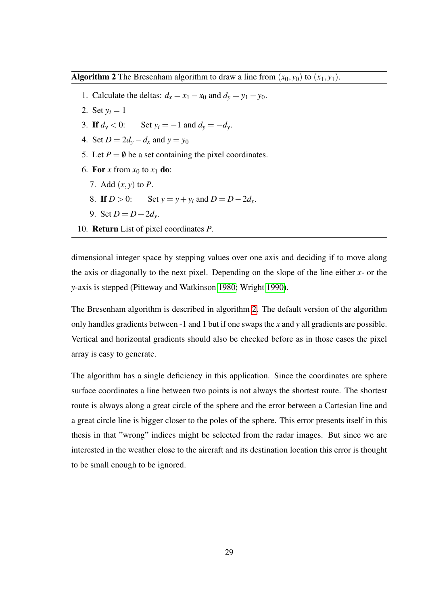<span id="page-35-0"></span>Algorithm 2 The Bresenham algorithm to draw a line from  $(x_0, y_0)$  to  $(x_1, y_1)$ .

- 1. Calculate the deltas:  $d_x = x_1 x_0$  and  $d_y = y_1 y_0$ .
- 2. Set  $y_i = 1$
- 3. If  $d_y < 0$ : Set  $y_i = -1$  and  $d_y = -d_y$ .
- 4. Set  $D = 2d_y d_x$  and  $y = y_0$
- 5. Let  $P = \emptyset$  be a set containing the pixel coordinates.
- 6. For *x* from  $x_0$  to  $x_1$  do:
	- 7. Add (*x*, *y*) to *P*.
	- 8. If  $D > 0$ : Set  $y = y + y_i$  and  $D = D 2d_x$ .
	- 9. Set  $D = D + 2d_v$ .
- 10. Return List of pixel coordinates *P*.

dimensional integer space by stepping values over one axis and deciding if to move along the axis or diagonally to the next pixel. Depending on the slope of the line either *x*- or the *y*-axis is stepped (Pitteway and Watkinson [1980;](#page-56-7) Wright [1990\)](#page-57-7).

The Bresenham algorithm is described in algorithm [2.](#page-35-0) The default version of the algorithm only handles gradients between -1 and 1 but if one swaps the *x* and *y* all gradients are possible. Vertical and horizontal gradients should also be checked before as in those cases the pixel array is easy to generate.

The algorithm has a single deficiency in this application. Since the coordinates are sphere surface coordinates a line between two points is not always the shortest route. The shortest route is always along a great circle of the sphere and the error between a Cartesian line and a great circle line is bigger closer to the poles of the sphere. This error presents itself in this thesis in that "wrong" indices might be selected from the radar images. But since we are interested in the weather close to the aircraft and its destination location this error is thought to be small enough to be ignored.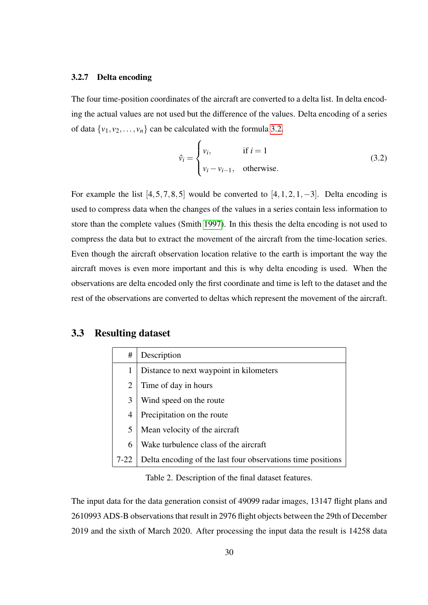#### <span id="page-36-1"></span>3.2.7 Delta encoding

The four time-position coordinates of the aircraft are converted to a delta list. In delta encoding the actual values are not used but the difference of the values. Delta encoding of a series of data  $\{v_1, v_2, \ldots, v_n\}$  can be calculated with the formula [3.2.](#page-36-3)

<span id="page-36-3"></span>
$$
\hat{v}_i = \begin{cases} v_i, & \text{if } i = 1 \\ v_i - v_{i-1}, & \text{otherwise.} \end{cases}
$$
\n(3.2)

For example the list  $[4,5,7,8,5]$  would be converted to  $[4,1,2,1,-3]$ . Delta encoding is used to compress data when the changes of the values in a series contain less information to store than the complete values (Smith [1997\)](#page-57-8). In this thesis the delta encoding is not used to compress the data but to extract the movement of the aircraft from the time-location series. Even though the aircraft observation location relative to the earth is important the way the aircraft moves is even more important and this is why delta encoding is used. When the observations are delta encoded only the first coordinate and time is left to the dataset and the rest of the observations are converted to deltas which represent the movement of the aircraft.

## <span id="page-36-2"></span>3.3 Resulting dataset

| #        | Description                                                 |
|----------|-------------------------------------------------------------|
| 1        | Distance to next waypoint in kilometers                     |
| 2        | Time of day in hours                                        |
| 3        | Wind speed on the route                                     |
| 4        | Precipitation on the route                                  |
| 5        | Mean velocity of the aircraft                               |
| 6        | Wake turbulence class of the aircraft                       |
| $7 - 22$ | Delta encoding of the last four observations time positions |

<span id="page-36-0"></span>Table 2. Description of the final dataset features.

The input data for the data generation consist of 49099 radar images, 13147 flight plans and 2610993 ADS-B observations that result in 2976 flight objects between the 29th of December 2019 and the sixth of March 2020. After processing the input data the result is 14258 data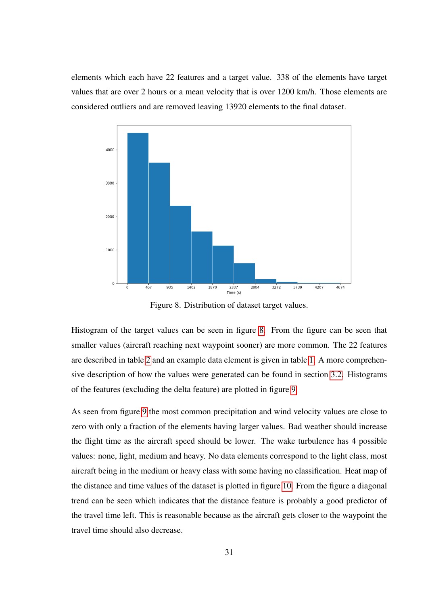elements which each have 22 features and a target value. 338 of the elements have target values that are over 2 hours or a mean velocity that is over 1200 km/h. Those elements are considered outliers and are removed leaving 13920 elements to the final dataset.



<span id="page-37-0"></span>Figure 8. Distribution of dataset target values.

Histogram of the target values can be seen in figure [8.](#page-37-0) From the figure can be seen that smaller values (aircraft reaching next waypoint sooner) are more common. The 22 features are described in table [2](#page-36-0) and an example data element is given in table [1.](#page-31-0) A more comprehensive description of how the values were generated can be found in section [3.2.](#page-29-1) Histograms of the features (excluding the delta feature) are plotted in figure [9.](#page-38-0)

As seen from figure [9](#page-38-0) the most common precipitation and wind velocity values are close to zero with only a fraction of the elements having larger values. Bad weather should increase the flight time as the aircraft speed should be lower. The wake turbulence has 4 possible values: none, light, medium and heavy. No data elements correspond to the light class, most aircraft being in the medium or heavy class with some having no classification. Heat map of the distance and time values of the dataset is plotted in figure [10.](#page-38-1) From the figure a diagonal trend can be seen which indicates that the distance feature is probably a good predictor of the travel time left. This is reasonable because as the aircraft gets closer to the waypoint the travel time should also decrease.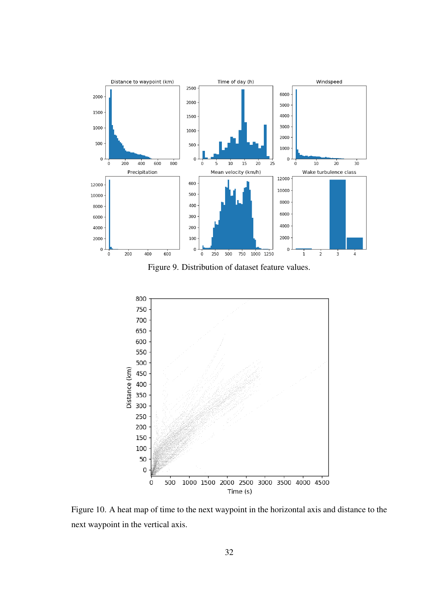

<span id="page-38-0"></span>Figure 9. Distribution of dataset feature values.



<span id="page-38-1"></span>Figure 10. A heat map of time to the next waypoint in the horizontal axis and distance to the next waypoint in the vertical axis.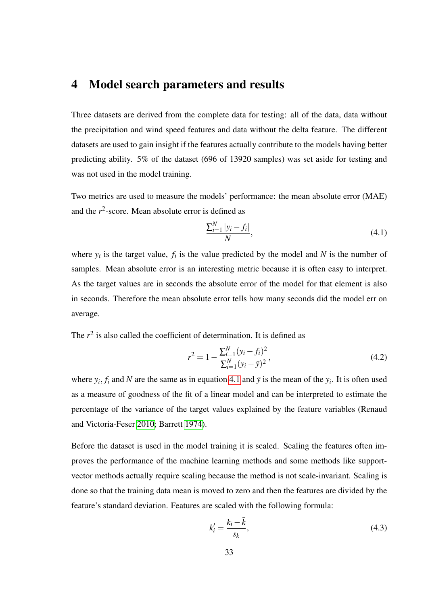## <span id="page-39-0"></span>4 Model search parameters and results

Three datasets are derived from the complete data for testing: all of the data, data without the precipitation and wind speed features and data without the delta feature. The different datasets are used to gain insight if the features actually contribute to the models having better predicting ability. 5% of the dataset (696 of 13920 samples) was set aside for testing and was not used in the model training.

Two metrics are used to measure the models' performance: the mean absolute error (MAE) and the  $r^2$ -score. Mean absolute error is defined as

<span id="page-39-1"></span>
$$
\frac{\sum_{i=1}^{N} |y_i - f_i|}{N},
$$
\n(4.1)

where  $y_i$  is the target value,  $f_i$  is the value predicted by the model and  $N$  is the number of samples. Mean absolute error is an interesting metric because it is often easy to interpret. As the target values are in seconds the absolute error of the model for that element is also in seconds. Therefore the mean absolute error tells how many seconds did the model err on average.

The  $r^2$  is also called the coefficient of determination. It is defined as

$$
r^{2} = 1 - \frac{\sum_{i=1}^{N} (y_{i} - f_{i})^{2}}{\sum_{i=1}^{N} (y_{i} - \bar{y})^{2}},
$$
\n(4.2)

where  $y_i$ ,  $f_i$  and  $N$  are the same as in equation [4.1](#page-39-1) and  $\bar{y}$  is the mean of the  $y_i$ . It is often used as a measure of goodness of the fit of a linear model and can be interpreted to estimate the percentage of the variance of the target values explained by the feature variables (Renaud and Victoria-Feser [2010;](#page-56-8) Barrett [1974\)](#page-53-6).

Before the dataset is used in the model training it is scaled. Scaling the features often improves the performance of the machine learning methods and some methods like supportvector methods actually require scaling because the method is not scale-invariant. Scaling is done so that the training data mean is moved to zero and then the features are divided by the feature's standard deviation. Features are scaled with the following formula:

$$
k_i' = \frac{k_i - \bar{k}}{s_k},\tag{4.3}
$$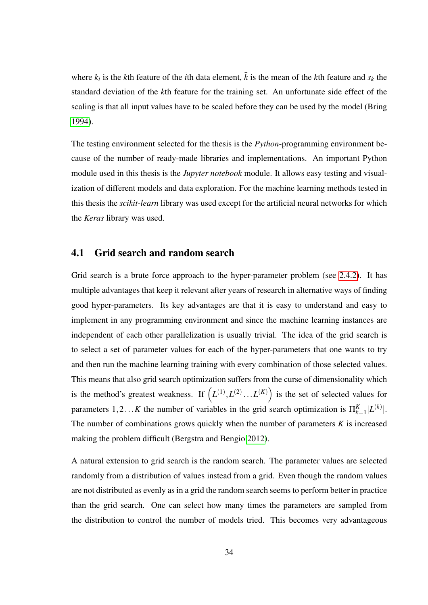where  $k_i$  is the *k*th feature of the *i*th data element,  $\bar{k}$  is the mean of the *k*th feature and  $s_k$  the standard deviation of the *k*th feature for the training set. An unfortunate side effect of the scaling is that all input values have to be scaled before they can be used by the model (Bring [1994\)](#page-54-11).

The testing environment selected for the thesis is the *Python*-programming environment because of the number of ready-made libraries and implementations. An important Python module used in this thesis is the *Jupyter notebook* module. It allows easy testing and visualization of different models and data exploration. For the machine learning methods tested in this thesis the *scikit-learn* library was used except for the artificial neural networks for which the *Keras* library was used.

## <span id="page-40-0"></span>4.1 Grid search and random search

Grid search is a brute force approach to the hyper-parameter problem (see [2.4.2\)](#page-22-0). It has multiple advantages that keep it relevant after years of research in alternative ways of finding good hyper-parameters. Its key advantages are that it is easy to understand and easy to implement in any programming environment and since the machine learning instances are independent of each other parallelization is usually trivial. The idea of the grid search is to select a set of parameter values for each of the hyper-parameters that one wants to try and then run the machine learning training with every combination of those selected values. This means that also grid search optimization suffers from the curse of dimensionality which is the method's greatest weakness. If  $(L^{(1)}, L^{(2)} \dots L^{(K)})$  is the set of selected values for parameters  $1, 2...K$  the number of variables in the grid search optimization is  $\Pi_{k=1}^K |L^{(k)}|$ . The number of combinations grows quickly when the number of parameters *K* is increased making the problem difficult (Bergstra and Bengio [2012\)](#page-53-4).

A natural extension to grid search is the random search. The parameter values are selected randomly from a distribution of values instead from a grid. Even though the random values are not distributed as evenly as in a grid the random search seems to perform better in practice than the grid search. One can select how many times the parameters are sampled from the distribution to control the number of models tried. This becomes very advantageous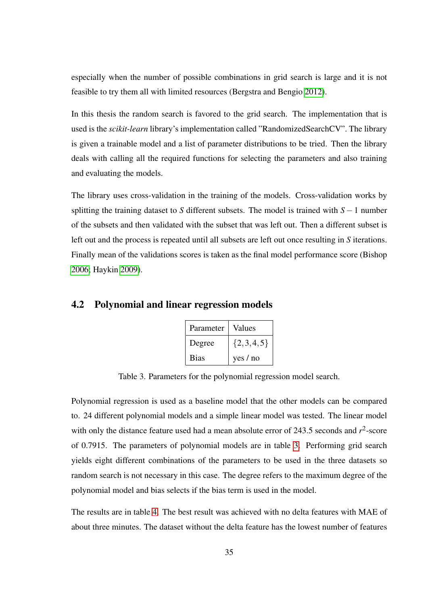especially when the number of possible combinations in grid search is large and it is not feasible to try them all with limited resources (Bergstra and Bengio [2012\)](#page-53-4).

In this thesis the random search is favored to the grid search. The implementation that is used is the *scikit-learn* library's implementation called "RandomizedSearchCV". The library is given a trainable model and a list of parameter distributions to be tried. Then the library deals with calling all the required functions for selecting the parameters and also training and evaluating the models.

The library uses cross-validation in the training of the models. Cross-validation works by splitting the training dataset to *S* different subsets. The model is trained with *S* −1 number of the subsets and then validated with the subset that was left out. Then a different subset is left out and the process is repeated until all subsets are left out once resulting in *S* iterations. Finally mean of the validations scores is taken as the final model performance score (Bishop [2006;](#page-54-2) Haykin [2009\)](#page-55-2).

### <span id="page-41-1"></span>4.2 Polynomial and linear regression models

| Parameter   | Values        |
|-------------|---------------|
| Degree      | $\{2,3,4,5\}$ |
| <b>Bias</b> | yes / no      |

<span id="page-41-0"></span>Table 3. Parameters for the polynomial regression model search.

Polynomial regression is used as a baseline model that the other models can be compared to. 24 different polynomial models and a simple linear model was tested. The linear model with only the distance feature used had a mean absolute error of 243.5 seconds and  $r^2$ -score of 0.7915. The parameters of polynomial models are in table [3.](#page-41-0) Performing grid search yields eight different combinations of the parameters to be used in the three datasets so random search is not necessary in this case. The degree refers to the maximum degree of the polynomial model and bias selects if the bias term is used in the model.

The results are in table [4.](#page-42-0) The best result was achieved with no delta features with MAE of about three minutes. The dataset without the delta feature has the lowest number of features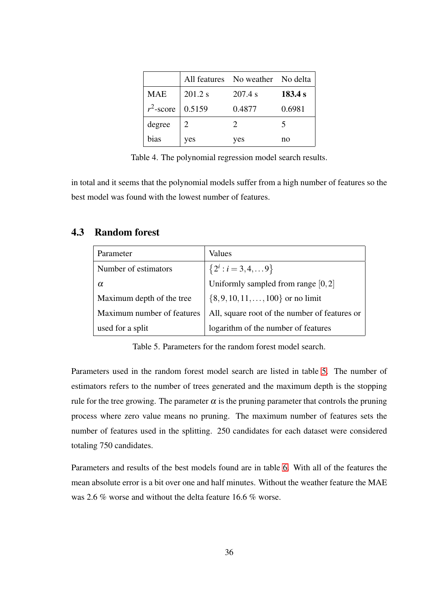|              |         | All features No weather No delta |         |
|--------------|---------|----------------------------------|---------|
| <b>MAE</b>   | 201.2 s | 207.4 s                          | 183.4 s |
| $r^2$ -score | 0.5159  | 0.4877                           | 0.6981  |
| degree       |         | $\mathcal{D}$                    |         |
| bias         | yes     | yes                              | no      |

<span id="page-42-0"></span>Table 4. The polynomial regression model search results.

in total and it seems that the polynomial models suffer from a high number of features so the best model was found with the lowest number of features.

## <span id="page-42-2"></span>4.3 Random forest

| Parameter                  | Values                                        |
|----------------------------|-----------------------------------------------|
| Number of estimators       | ${2^i : i = 3, 4, \ldots 9}$                  |
| α                          | Uniformly sampled from range $[0,2]$          |
| Maximum depth of the tree  | $\{8, 9, 10, 11, \ldots, 100\}$ or no limit   |
| Maximum number of features | All, square root of the number of features or |
| used for a split           | logarithm of the number of features           |

<span id="page-42-1"></span>Table 5. Parameters for the random forest model search.

Parameters used in the random forest model search are listed in table [5.](#page-42-1) The number of estimators refers to the number of trees generated and the maximum depth is the stopping rule for the tree growing. The parameter  $\alpha$  is the pruning parameter that controls the pruning process where zero value means no pruning. The maximum number of features sets the number of features used in the splitting. 250 candidates for each dataset were considered totaling 750 candidates.

Parameters and results of the best models found are in table [6.](#page-43-0) With all of the features the mean absolute error is a bit over one and half minutes. Without the weather feature the MAE was 2.6 % worse and without the delta feature 16.6 % worse.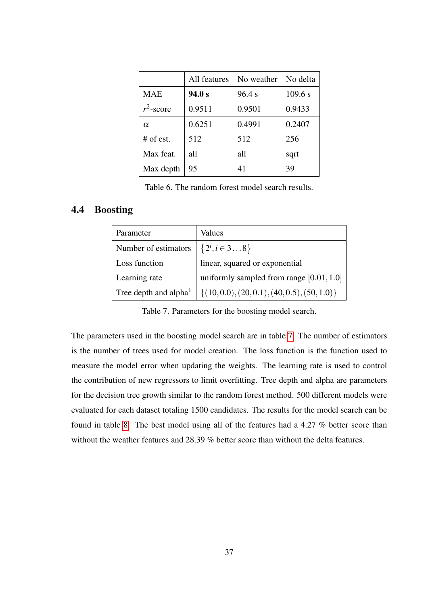|              | All features | No weather No delta |         |
|--------------|--------------|---------------------|---------|
| MAE          | 94.0 s       | 96.4 s              | 109.6 s |
| $r^2$ -score | 0.9511       | 0.9501              | 0.9433  |
| $\alpha$     | 0.6251       | 0.4991              | 0.2407  |
| $#$ of est.  | 512          | 512                 | 256     |
| Max feat.    | all          | all                 | sqrt    |
| Max depth    | 95           | 41                  | 39      |

<span id="page-43-0"></span>Table 6. The random forest model search results.

## <span id="page-43-2"></span>4.4 Boosting

| Parameter                | Values                                       |
|--------------------------|----------------------------------------------|
| Number of estimators     | $\left\{2^{i}, i \in 38\right\}$             |
| Loss function            | linear, squared or exponential               |
| Learning rate            | uniformly sampled from range [0.01, 1.0]     |
| Tree depth and alpha $1$ | $\{(10,0.0), (20,0.1), (40,0.5), (50,1.0)\}$ |

<span id="page-43-1"></span>Table 7. Parameters for the boosting model search.

The parameters used in the boosting model search are in table [7.](#page-43-1) The number of estimators is the number of trees used for model creation. The loss function is the function used to measure the model error when updating the weights. The learning rate is used to control the contribution of new regressors to limit overfitting. Tree depth and alpha are parameters for the decision tree growth similar to the random forest method. 500 different models were evaluated for each dataset totaling 1500 candidates. The results for the model search can be found in table [8.](#page-44-0) The best model using all of the features had a 4.27 % better score than without the weather features and 28.39 % better score than without the delta features.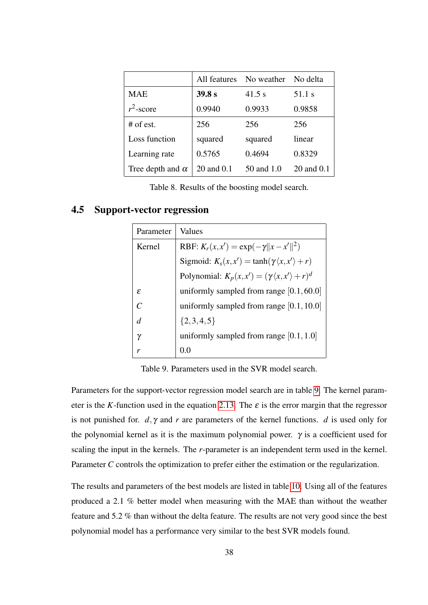|                         | All features     | No weather | No delta   |  |
|-------------------------|------------------|------------|------------|--|
| MAE                     | 39.8 s<br>41.5 s |            | 51.1 s     |  |
| $r^2$ -score            | 0.9940           | 0.9933     | 0.9858     |  |
| $#$ of est.             | 256              | 256        | 256        |  |
| Loss function           | squared          | squared    | linear     |  |
| Learning rate           | 0.5765           | 0.4694     | 0.8329     |  |
| Tree depth and $\alpha$ | 20 and 0.1       | 50 and 1.0 | 20 and 0.1 |  |

<span id="page-44-0"></span>Table 8. Results of the boosting model search.

## <span id="page-44-2"></span>4.5 Support-vector regression

| Parameter     | Values                                                          |
|---------------|-----------------------------------------------------------------|
| Kernel        | RBF: $K_r(x, x') = \exp(-\gamma   x - x'  ^2)$                  |
|               | Sigmoid: $K_s(x, x') = \tanh(\gamma \langle x, x' \rangle + r)$ |
|               | Polynomial: $K_p(x, x') = (\gamma \langle x, x' \rangle + r)^d$ |
| $\mathcal{E}$ | uniformly sampled from range $[0.1, 60.0]$                      |
| $\mathcal{C}$ | uniformly sampled from range $[0.1, 10.0]$                      |
| d             | $\{2,3,4,5\}$                                                   |
| γ             | uniformly sampled from range $[0.1, 1.0]$                       |
| r             | 0.0                                                             |

<span id="page-44-1"></span>Table 9. Parameters used in the SVR model search.

Parameters for the support-vector regression model search are in table [9.](#page-44-1) The kernel parameter is the *K*-function used in the equation [2.13.](#page-20-1) The  $\varepsilon$  is the error margin that the regressor is not punished for. *d*, γ and *r* are parameters of the kernel functions. *d* is used only for the polynomial kernel as it is the maximum polynomial power.  $\gamma$  is a coefficient used for scaling the input in the kernels. The *r*-parameter is an independent term used in the kernel. Parameter *C* controls the optimization to prefer either the estimation or the regularization.

The results and parameters of the best models are listed in table [10.](#page-45-0) Using all of the features produced a 2.1 % better model when measuring with the MAE than without the weather feature and 5.2 % than without the delta feature. The results are not very good since the best polynomial model has a performance very similar to the best SVR models found.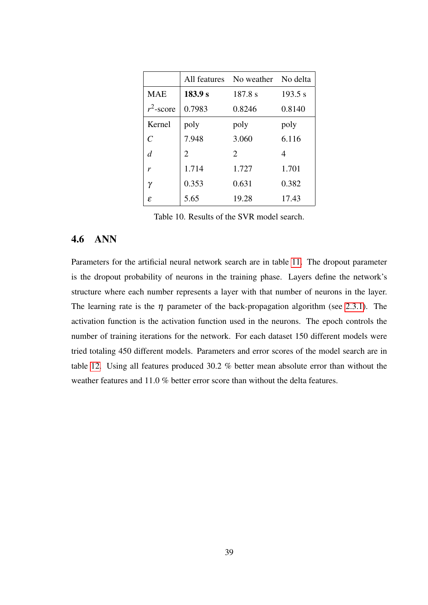|                | All features                | No weather No delta   |         |  |
|----------------|-----------------------------|-----------------------|---------|--|
| <b>MAE</b>     | 183.9 s                     | 187.8 s               | 193.5 s |  |
| $r^2$ -score   | 0.7983                      | 0.8246                | 0.8140  |  |
| Kernel         | poly                        | poly                  | poly    |  |
| $\mathcal{C}$  | 7.948                       | 3.060                 | 6.116   |  |
| $\overline{d}$ | $\mathcal{D}_{\mathcal{L}}$ | $\mathcal{D}_{\cdot}$ | 4       |  |
| r              | 1.714                       | 1.727                 | 1.701   |  |
| γ              | 0.353                       | 0.631                 | 0.382   |  |
| ε              | 5.65                        | 19.28                 | 17.43   |  |

<span id="page-45-0"></span>Table 10. Results of the SVR model search.

## <span id="page-45-1"></span>4.6 ANN

Parameters for the artificial neural network search are in table [11.](#page-46-0) The dropout parameter is the dropout probability of neurons in the training phase. Layers define the network's structure where each number represents a layer with that number of neurons in the layer. The learning rate is the  $\eta$  parameter of the back-propagation algorithm (see [2.3.1\)](#page-13-1). The activation function is the activation function used in the neurons. The epoch controls the number of training iterations for the network. For each dataset 150 different models were tried totaling 450 different models. Parameters and error scores of the model search are in table [12.](#page-46-1) Using all features produced 30.2 % better mean absolute error than without the weather features and 11.0 % better error score than without the delta features.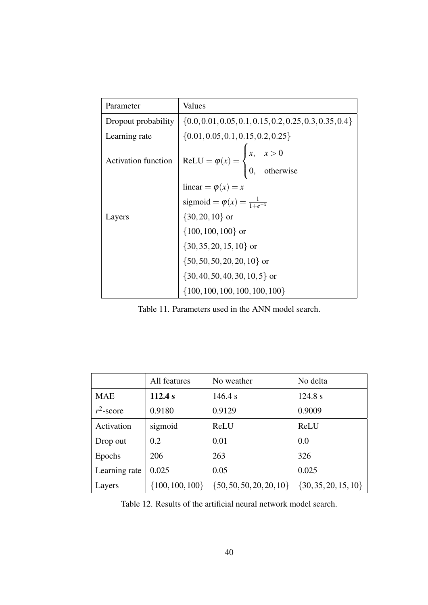| Parameter                  | Values                                                                                |  |  |
|----------------------------|---------------------------------------------------------------------------------------|--|--|
| Dropout probability        | $\{0.0, 0.01, 0.05, 0.1, 0.15, 0.2, 0.25, 0.3, 0.35, 0.4\}$                           |  |  |
| Learning rate              | $\{0.01, 0.05, 0.1, 0.15, 0.2, 0.25\}$                                                |  |  |
| <b>Activation function</b> | ReLU = $\varphi(x)$ = $\begin{cases} x, & x > 0 \\ 0, & \text{otherwise} \end{cases}$ |  |  |
|                            |                                                                                       |  |  |
|                            | linear = $\varphi(x) = x$<br>sigmoid = $\varphi(x) = \frac{1}{1 + e^{-x}}$            |  |  |
| Layers                     | $\{30, 20, 10\}$ or                                                                   |  |  |
|                            | $\{100, 100, 100\}$ or                                                                |  |  |
|                            | ${30, 35, 20, 15, 10}$ or                                                             |  |  |
|                            | $\{50, 50, 50, 20, 20, 10\}$ or                                                       |  |  |
|                            | $\{30, 40, 50, 40, 30, 10, 5\}$ or                                                    |  |  |
|                            | $\{100, 100, 100, 100, 100, 100\}$                                                    |  |  |

<span id="page-46-0"></span>Table 11. Parameters used in the ANN model search.

|               | All features        | No weather                   | No delta                 |
|---------------|---------------------|------------------------------|--------------------------|
| <b>MAE</b>    | 112.4 s             | 146.4 s                      | 124.8 s                  |
| $r^2$ -score  | 0.9180              | 0.9129                       | 0.9009                   |
| Activation    | sigmoid             | ReLU                         | ReLU                     |
| Drop out      | 0.2                 | 0.01                         | 0.0                      |
| Epochs        | 206                 | 263                          | 326                      |
| Learning rate | 0.025               | 0.05                         | 0.025                    |
| Layers        | $\{100, 100, 100\}$ | $\{50, 50, 50, 20, 20, 10\}$ | $\{30, 35, 20, 15, 10\}$ |

<span id="page-46-1"></span>Table 12. Results of the artificial neural network model search.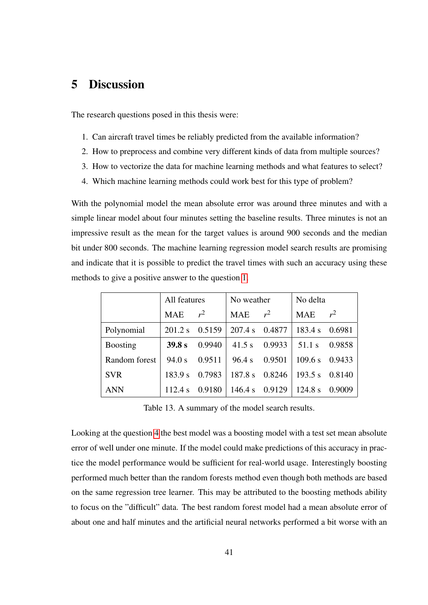## <span id="page-47-1"></span>5 Discussion

<span id="page-47-2"></span>The research questions posed in this thesis were:

- <span id="page-47-4"></span>1. Can aircraft travel times be reliably predicted from the available information?
- <span id="page-47-5"></span>2. How to preprocess and combine very different kinds of data from multiple sources?
- <span id="page-47-3"></span>3. How to vectorize the data for machine learning methods and what features to select?
- 4. Which machine learning methods could work best for this type of problem?

With the polynomial model the mean absolute error was around three minutes and with a simple linear model about four minutes setting the baseline results. Three minutes is not an impressive result as the mean for the target values is around 900 seconds and the median bit under 800 seconds. The machine learning regression model search results are promising and indicate that it is possible to predict the travel times with such an accuracy using these methods to give a positive answer to the question [1.](#page-47-2)

|                 | All features |        | No weather     |        | No delta   |        |
|-----------------|--------------|--------|----------------|--------|------------|--------|
|                 | <b>MAE</b>   | $r^2$  | <b>MAE</b>     | $r^2$  | <b>MAE</b> | $r^2$  |
| Polynomial      | $201.2$ s    | 0.5159 | 207.4 s 0.4877 |        | 183.4 s    | 0.6981 |
| <b>Boosting</b> | 39.8 s       | 0.9940 | 41.5 s         | 0.9933 | 51.1 s     | 0.9858 |
| Random forest   | 94.0 s       | 0.9511 | 96.4 s         | 0.9501 | 109.6 s    | 0.9433 |
| <b>SVR</b>      | 183.9 s      | 0.7983 | 187.8 s        | 0.8246 | 193.5 s    | 0.8140 |
| <b>ANN</b>      | 112.4 s      | 0.9180 | 146.4 s 0.9129 |        | 124.8 s    | 0.9009 |

<span id="page-47-0"></span>Table 13. A summary of the model search results.

Looking at the question [4](#page-47-3) the best model was a boosting model with a test set mean absolute error of well under one minute. If the model could make predictions of this accuracy in practice the model performance would be sufficient for real-world usage. Interestingly boosting performed much better than the random forests method even though both methods are based on the same regression tree learner. This may be attributed to the boosting methods ability to focus on the "difficult" data. The best random forest model had a mean absolute error of about one and half minutes and the artificial neural networks performed a bit worse with an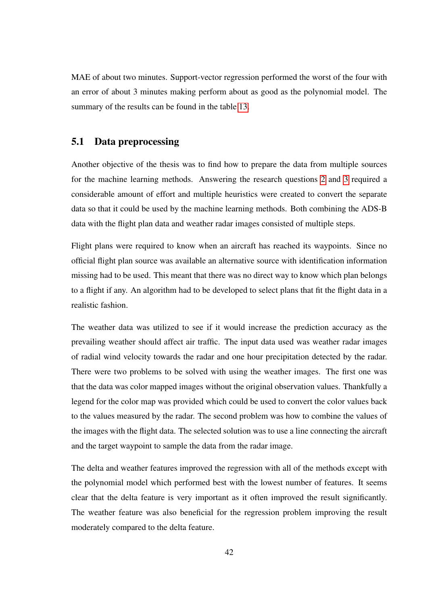MAE of about two minutes. Support-vector regression performed the worst of the four with an error of about 3 minutes making perform about as good as the polynomial model. The summary of the results can be found in the table [13.](#page-47-0)

## <span id="page-48-0"></span>5.1 Data preprocessing

Another objective of the thesis was to find how to prepare the data from multiple sources for the machine learning methods. Answering the research questions [2](#page-47-4) and [3](#page-47-5) required a considerable amount of effort and multiple heuristics were created to convert the separate data so that it could be used by the machine learning methods. Both combining the ADS-B data with the flight plan data and weather radar images consisted of multiple steps.

Flight plans were required to know when an aircraft has reached its waypoints. Since no official flight plan source was available an alternative source with identification information missing had to be used. This meant that there was no direct way to know which plan belongs to a flight if any. An algorithm had to be developed to select plans that fit the flight data in a realistic fashion.

The weather data was utilized to see if it would increase the prediction accuracy as the prevailing weather should affect air traffic. The input data used was weather radar images of radial wind velocity towards the radar and one hour precipitation detected by the radar. There were two problems to be solved with using the weather images. The first one was that the data was color mapped images without the original observation values. Thankfully a legend for the color map was provided which could be used to convert the color values back to the values measured by the radar. The second problem was how to combine the values of the images with the flight data. The selected solution was to use a line connecting the aircraft and the target waypoint to sample the data from the radar image.

The delta and weather features improved the regression with all of the methods except with the polynomial model which performed best with the lowest number of features. It seems clear that the delta feature is very important as it often improved the result significantly. The weather feature was also beneficial for the regression problem improving the result moderately compared to the delta feature.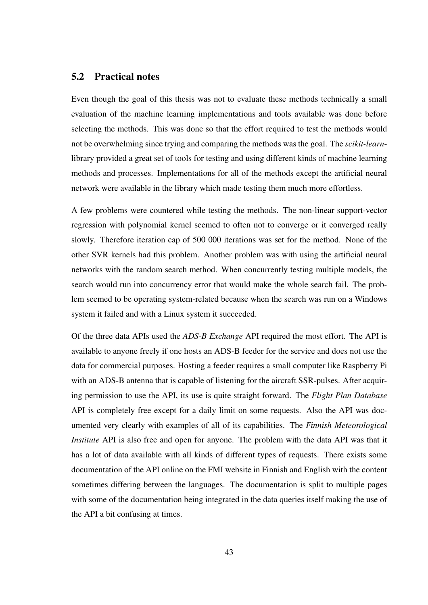## <span id="page-49-0"></span>5.2 Practical notes

Even though the goal of this thesis was not to evaluate these methods technically a small evaluation of the machine learning implementations and tools available was done before selecting the methods. This was done so that the effort required to test the methods would not be overwhelming since trying and comparing the methods was the goal. The *scikit-learn*library provided a great set of tools for testing and using different kinds of machine learning methods and processes. Implementations for all of the methods except the artificial neural network were available in the library which made testing them much more effortless.

A few problems were countered while testing the methods. The non-linear support-vector regression with polynomial kernel seemed to often not to converge or it converged really slowly. Therefore iteration cap of 500 000 iterations was set for the method. None of the other SVR kernels had this problem. Another problem was with using the artificial neural networks with the random search method. When concurrently testing multiple models, the search would run into concurrency error that would make the whole search fail. The problem seemed to be operating system-related because when the search was run on a Windows system it failed and with a Linux system it succeeded.

Of the three data APIs used the *ADS-B Exchange* API required the most effort. The API is available to anyone freely if one hosts an ADS-B feeder for the service and does not use the data for commercial purposes. Hosting a feeder requires a small computer like Raspberry Pi with an ADS-B antenna that is capable of listening for the aircraft SSR-pulses. After acquiring permission to use the API, its use is quite straight forward. The *Flight Plan Database* API is completely free except for a daily limit on some requests. Also the API was documented very clearly with examples of all of its capabilities. The *Finnish Meteorological Institute* API is also free and open for anyone. The problem with the data API was that it has a lot of data available with all kinds of different types of requests. There exists some documentation of the API online on the FMI website in Finnish and English with the content sometimes differing between the languages. The documentation is split to multiple pages with some of the documentation being integrated in the data queries itself making the use of the API a bit confusing at times.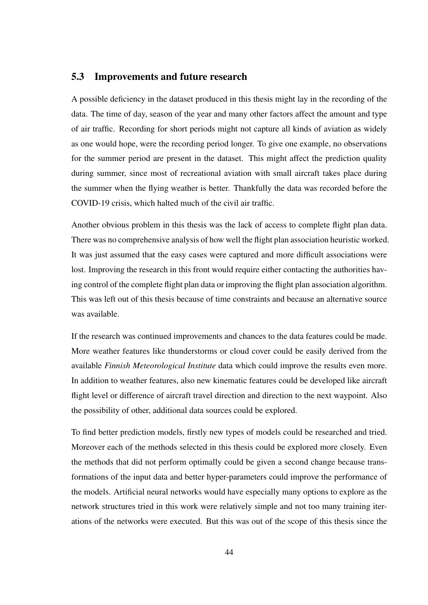## <span id="page-50-0"></span>5.3 Improvements and future research

A possible deficiency in the dataset produced in this thesis might lay in the recording of the data. The time of day, season of the year and many other factors affect the amount and type of air traffic. Recording for short periods might not capture all kinds of aviation as widely as one would hope, were the recording period longer. To give one example, no observations for the summer period are present in the dataset. This might affect the prediction quality during summer, since most of recreational aviation with small aircraft takes place during the summer when the flying weather is better. Thankfully the data was recorded before the COVID-19 crisis, which halted much of the civil air traffic.

Another obvious problem in this thesis was the lack of access to complete flight plan data. There was no comprehensive analysis of how well the flight plan association heuristic worked. It was just assumed that the easy cases were captured and more difficult associations were lost. Improving the research in this front would require either contacting the authorities having control of the complete flight plan data or improving the flight plan association algorithm. This was left out of this thesis because of time constraints and because an alternative source was available.

If the research was continued improvements and chances to the data features could be made. More weather features like thunderstorms or cloud cover could be easily derived from the available *Finnish Meteorological Institute* data which could improve the results even more. In addition to weather features, also new kinematic features could be developed like aircraft flight level or difference of aircraft travel direction and direction to the next waypoint. Also the possibility of other, additional data sources could be explored.

To find better prediction models, firstly new types of models could be researched and tried. Moreover each of the methods selected in this thesis could be explored more closely. Even the methods that did not perform optimally could be given a second change because transformations of the input data and better hyper-parameters could improve the performance of the models. Artificial neural networks would have especially many options to explore as the network structures tried in this work were relatively simple and not too many training iterations of the networks were executed. But this was out of the scope of this thesis since the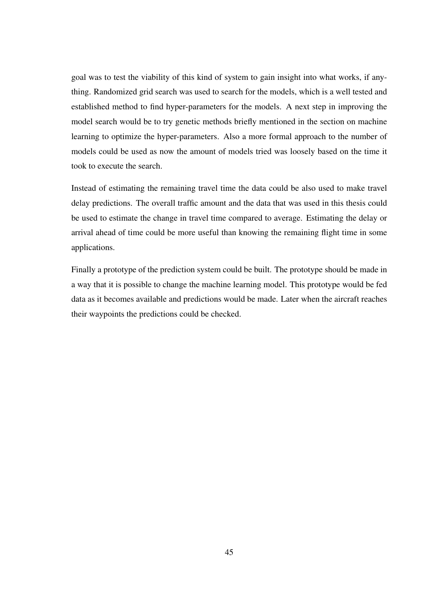goal was to test the viability of this kind of system to gain insight into what works, if anything. Randomized grid search was used to search for the models, which is a well tested and established method to find hyper-parameters for the models. A next step in improving the model search would be to try genetic methods briefly mentioned in the section on machine learning to optimize the hyper-parameters. Also a more formal approach to the number of models could be used as now the amount of models tried was loosely based on the time it took to execute the search.

Instead of estimating the remaining travel time the data could be also used to make travel delay predictions. The overall traffic amount and the data that was used in this thesis could be used to estimate the change in travel time compared to average. Estimating the delay or arrival ahead of time could be more useful than knowing the remaining flight time in some applications.

Finally a prototype of the prediction system could be built. The prototype should be made in a way that it is possible to change the machine learning model. This prototype would be fed data as it becomes available and predictions would be made. Later when the aircraft reaches their waypoints the predictions could be checked.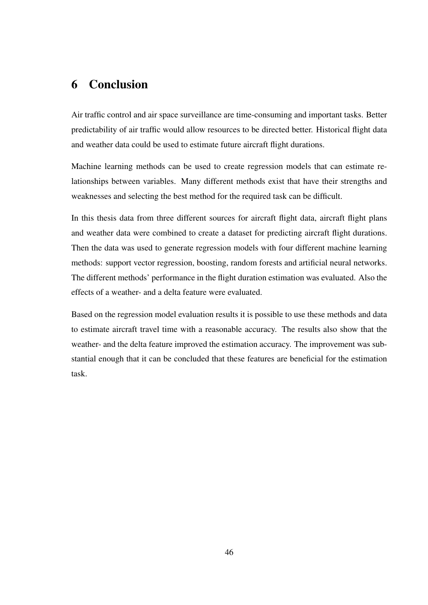# <span id="page-52-0"></span>6 Conclusion

Air traffic control and air space surveillance are time-consuming and important tasks. Better predictability of air traffic would allow resources to be directed better. Historical flight data and weather data could be used to estimate future aircraft flight durations.

Machine learning methods can be used to create regression models that can estimate relationships between variables. Many different methods exist that have their strengths and weaknesses and selecting the best method for the required task can be difficult.

In this thesis data from three different sources for aircraft flight data, aircraft flight plans and weather data were combined to create a dataset for predicting aircraft flight durations. Then the data was used to generate regression models with four different machine learning methods: support vector regression, boosting, random forests and artificial neural networks. The different methods' performance in the flight duration estimation was evaluated. Also the effects of a weather- and a delta feature were evaluated.

Based on the regression model evaluation results it is possible to use these methods and data to estimate aircraft travel time with a reasonable accuracy. The results also show that the weather- and the delta feature improved the estimation accuracy. The improvement was substantial enough that it can be concluded that these features are beneficial for the estimation task.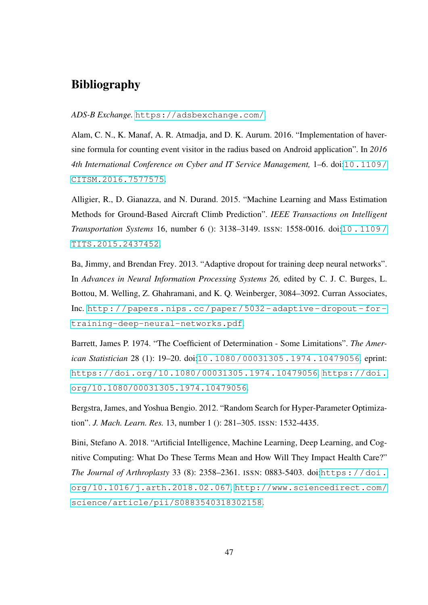# Bibliography

<span id="page-53-0"></span>*ADS-B Exchange.* <https://adsbexchange.com/>.

<span id="page-53-5"></span>Alam, C. N., K. Manaf, A. R. Atmadja, and D. K. Aurum. 2016. "Implementation of haversine formula for counting event visitor in the radius based on Android application". In *2016 4th International Conference on Cyber and IT Service Management,* 1–6. doi:[10.1109/](http://dx.doi.org/10.1109/CITSM.2016.7577575) [CITSM.2016.7577575](http://dx.doi.org/10.1109/CITSM.2016.7577575).

<span id="page-53-1"></span>Alligier, R., D. Gianazza, and N. Durand. 2015. "Machine Learning and Mass Estimation Methods for Ground-Based Aircraft Climb Prediction". *IEEE Transactions on Intelligent Transportation Systems* 16, number 6 (): 3138–3149. ISSN: 1558-0016. doi:[10 . 1109 /](http://dx.doi.org/10.1109/TITS.2015.2437452) [TITS.2015.2437452](http://dx.doi.org/10.1109/TITS.2015.2437452).

<span id="page-53-3"></span>Ba, Jimmy, and Brendan Frey. 2013. "Adaptive dropout for training deep neural networks". In *Advances in Neural Information Processing Systems 26,* edited by C. J. C. Burges, L. Bottou, M. Welling, Z. Ghahramani, and K. Q. Weinberger, 3084–3092. Curran Associates, Inc. [http : / / papers . nips . cc / paper / 5032 - adaptive - dropout - for](http://papers.nips.cc/paper/5032-adaptive-dropout-for-training-deep-neural-networks.pdf)  [training-deep-neural-networks.pdf](http://papers.nips.cc/paper/5032-adaptive-dropout-for-training-deep-neural-networks.pdf).

<span id="page-53-6"></span>Barrett, James P. 1974. "The Coefficient of Determination - Some Limitations". *The American Statistician* 28 (1): 19–20. doi:[10.1080/00031305.1974.10479056](http://dx.doi.org/10.1080/00031305.1974.10479056). eprint: <https://doi.org/10.1080/00031305.1974.10479056>. [https://doi.](https://doi.org/10.1080/00031305.1974.10479056) [org/10.1080/00031305.1974.10479056](https://doi.org/10.1080/00031305.1974.10479056).

<span id="page-53-4"></span>Bergstra, James, and Yoshua Bengio. 2012. "Random Search for Hyper-Parameter Optimization". *J. Mach. Learn. Res.* 13, number 1 (): 281–305. ISSN: 1532-4435.

<span id="page-53-2"></span>Bini, Stefano A. 2018. "Artificial Intelligence, Machine Learning, Deep Learning, and Cognitive Computing: What Do These Terms Mean and How Will They Impact Health Care?" *The Journal of Arthroplasty* 33 (8): 2358-2361. ISSN: 0883-5403. doi:[https://doi.](http://dx.doi.org/https://doi.org/10.1016/j.arth.2018.02.067) [org/10.1016/j.arth.2018.02.067](http://dx.doi.org/https://doi.org/10.1016/j.arth.2018.02.067). [http://www.sciencedirect.com/](http://www.sciencedirect.com/science/article/pii/S0883540318302158) [science/article/pii/S0883540318302158](http://www.sciencedirect.com/science/article/pii/S0883540318302158).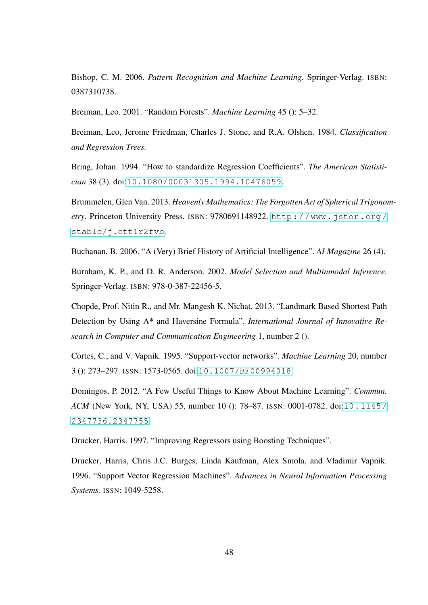<span id="page-54-2"></span>Bishop, C. M. 2006. *Pattern Recognition and Machine Learning.* Springer-Verlag. ISBN: 0387310738.

<span id="page-54-4"></span>Breiman, Leo. 2001. "Random Forests". *Machine Learning* 45 (): 5–32.

<span id="page-54-5"></span>Breiman, Leo, Jerome Friedman, Charles J. Stone, and R.A. Olshen. 1984. *Classification and Regression Trees.*

<span id="page-54-11"></span>Bring, Johan. 1994. "How to standardize Regression Coefficients". *The American Statistician* 38 (3). doi:[10.1080/00031305.1994.10476059](http://dx.doi.org/10.1080/00031305.1994.10476059).

<span id="page-54-10"></span>Brummelen, Glen Van. 2013. *Heavenly Mathematics: The Forgotten Art of Spherical Trigonometry.* Princeton University Press. ISBN: 9780691148922. [http://www.jstor.org/](http://www.jstor.org/stable/j.ctt1r2fvb) [stable/j.ctt1r2fvb](http://www.jstor.org/stable/j.ctt1r2fvb).

<span id="page-54-1"></span>Buchanan, B. 2006. "A (Very) Brief History of Artificial Intelligence". *AI Magazine* 26 (4).

<span id="page-54-8"></span>Burnham, K. P., and D. R. Anderson. 2002. *Model Selection and Multinmodal Inference.* Springer-Verlag. ISBN: 978-0-387-22456-5.

<span id="page-54-9"></span>Chopde, Prof. Nitin R., and Mr. Mangesh K. Nichat. 2013. "Landmark Based Shortest Path Detection by Using A\* and Haversine Formula". *International Journal of Innovative Research in Computer and Communication Engineering* 1, number 2 ().

<span id="page-54-6"></span>Cortes, C., and V. Vapnik. 1995. "Support-vector networks". *Machine Learning* 20, number 3 (): 273–297. ISSN: 1573-0565. doi:[10.1007/BF00994018](http://dx.doi.org/10.1007/BF00994018).

<span id="page-54-0"></span>Domingos, P. 2012. "A Few Useful Things to Know About Machine Learning". *Commun. ACM* (New York, NY, USA) 55, number 10 (): 78–87. ISSN: 0001-0782. doi:[10.1145/](http://dx.doi.org/10.1145/2347736.2347755) [2347736.2347755](http://dx.doi.org/10.1145/2347736.2347755).

<span id="page-54-3"></span>Drucker, Harris. 1997. "Improving Regressors using Boosting Techniques".

<span id="page-54-7"></span>Drucker, Harris, Chris J.C. Burges, Linda Kaufman, Alex Smola, and Vladimir Vapnik. 1996. "Support Vector Regression Machines". *Advances in Neural Information Processing Systems.* ISSN: 1049-5258.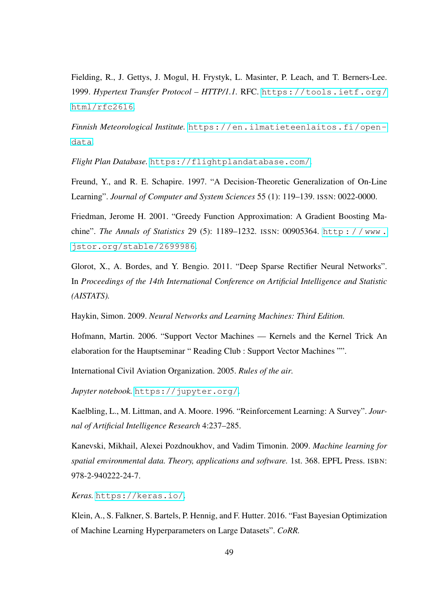<span id="page-55-8"></span>Fielding, R., J. Gettys, J. Mogul, H. Frystyk, L. Masinter, P. Leach, and T. Berners-Lee. 1999. *Hypertext Transfer Protocol – HTTP/1.1.* RFC. [https://tools.ietf.org/](https://tools.ietf.org/html/rfc2616) [html/rfc2616](https://tools.ietf.org/html/rfc2616).

*Finnish Meteorological Institute.* [https://en.ilmatieteenlaitos.fi/open](https://en.ilmatieteenlaitos.fi/open-data)[data](https://en.ilmatieteenlaitos.fi/open-data).

*Flight Plan Database.* <https://flightplandatabase.com/>.

<span id="page-55-3"></span>Freund, Y., and R. E. Schapire. 1997. "A Decision-Theoretic Generalization of On-Line Learning". *Journal of Computer and System Sciences* 55 (1): 119–139. ISSN: 0022-0000.

<span id="page-55-4"></span>Friedman, Jerome H. 2001. "Greedy Function Approximation: A Gradient Boosting Machine". *The Annals of Statistics* 29 (5): 1189–1232. ISSN: 00905364. [http : / / www .](http://www.jstor.org/stable/2699986) [jstor.org/stable/2699986](http://www.jstor.org/stable/2699986).

<span id="page-55-1"></span>Glorot, X., A. Bordes, and Y. Bengio. 2011. "Deep Sparse Rectifier Neural Networks". In *Proceedings of the 14th International Conference on Artificial Intelligence and Statistic (AISTATS).*

<span id="page-55-2"></span>Haykin, Simon. 2009. *Neural Networks and Learning Machines: Third Edition.*

<span id="page-55-5"></span>Hofmann, Martin. 2006. "Support Vector Machines — Kernels and the Kernel Trick An elaboration for the Hauptseminar " Reading Club : Support Vector Machines "".

<span id="page-55-9"></span>International Civil Aviation Organization. 2005. *Rules of the air.*

*Jupyter notebook.* <https://jupyter.org/>.

<span id="page-55-0"></span>Kaelbling, L., M. Littman, and A. Moore. 1996. "Reinforcement Learning: A Survey". *Journal of Artificial Intelligence Research* 4:237–285.

<span id="page-55-6"></span>Kanevski, Mikhail, Alexei Pozdnoukhov, and Vadim Timonin. 2009. *Machine learning for spatial environmental data. Theory, applications and software.* 1st. 368. EPFL Press. ISBN: 978-2-940222-24-7.

*Keras.* <https://keras.io/>.

<span id="page-55-7"></span>Klein, A., S. Falkner, S. Bartels, P. Hennig, and F. Hutter. 2016. "Fast Bayesian Optimization of Machine Learning Hyperparameters on Large Datasets". *CoRR.*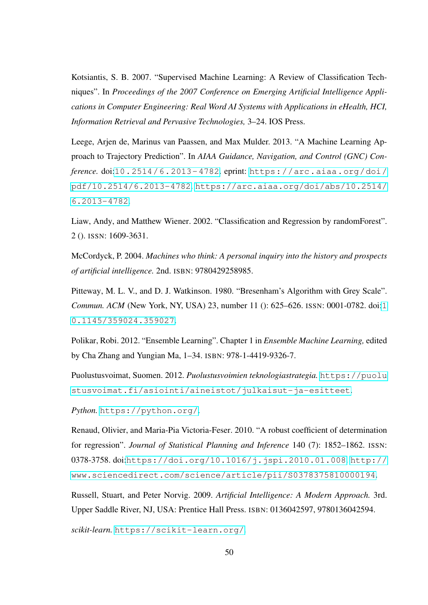<span id="page-56-6"></span>Kotsiantis, S. B. 2007. "Supervised Machine Learning: A Review of Classification Techniques". In *Proceedings of the 2007 Conference on Emerging Artificial Intelligence Applications in Computer Engineering: Real Word AI Systems with Applications in eHealth, HCI, Information Retrieval and Pervasive Technologies,* 3–24. IOS Press.

<span id="page-56-0"></span>Leege, Arjen de, Marinus van Paassen, and Max Mulder. 2013. "A Machine Learning Approach to Trajectory Prediction". In *AIAA Guidance, Navigation, and Control (GNC) Conference.* doi:[10.2514/6.2013- 4782](http://dx.doi.org/10.2514/6.2013-4782). eprint: [https://arc.aiaa.org/doi/](https://arc.aiaa.org/doi/pdf/10.2514/6.2013-4782) [pdf/10.2514/6.2013-4782](https://arc.aiaa.org/doi/pdf/10.2514/6.2013-4782). [https://arc.aiaa.org/doi/abs/10.2514/](https://arc.aiaa.org/doi/abs/10.2514/6.2013-4782) [6.2013-4782](https://arc.aiaa.org/doi/abs/10.2514/6.2013-4782).

<span id="page-56-4"></span>Liaw, Andy, and Matthew Wiener. 2002. "Classification and Regression by randomForest". 2 (). ISSN: 1609-3631.

<span id="page-56-3"></span>McCordyck, P. 2004. *Machines who think: A personal inquiry into the history and prospects of artificial intelligence.* 2nd. ISBN: 9780429258985.

<span id="page-56-7"></span>Pitteway, M. L. V., and D. J. Watkinson. 1980. "Bresenham's Algorithm with Grey Scale". *Commun. ACM* (New York, NY, USA) 23, number 11 (): 625–626. ISSN: 0001-0782. doi:[1](http://dx.doi.org/10.1145/359024.359027) [0.1145/359024.359027](http://dx.doi.org/10.1145/359024.359027).

<span id="page-56-5"></span>Polikar, Robi. 2012. "Ensemble Learning". Chapter 1 in *Ensemble Machine Learning,* edited by Cha Zhang and Yungian Ma, 1–34. ISBN: 978-1-4419-9326-7.

<span id="page-56-1"></span>Puolustusvoimat, Suomen. 2012. Puolustusvoimien teknologiastrategia. [https://puolu](https://puolustusvoimat.fi/asiointi/aineistot/julkaisut-ja-esitteet) [stusvoimat.fi/asiointi/aineistot/julkaisut-ja-esitteet](https://puolustusvoimat.fi/asiointi/aineistot/julkaisut-ja-esitteet).

*Python.* <https://python.org/>.

<span id="page-56-8"></span>Renaud, Olivier, and Maria-Pia Victoria-Feser. 2010. "A robust coefficient of determination for regression". *Journal of Statistical Planning and Inference* 140 (7): 1852–1862. ISSN: 0378-3758. doi:[https://doi.org/10.1016/j.jspi.2010.01.008](http://dx.doi.org/https://doi.org/10.1016/j.jspi.2010.01.008). [http://](http://www.sciencedirect.com/science/article/pii/S0378375810000194) [www.sciencedirect.com/science/article/pii/S0378375810000194](http://www.sciencedirect.com/science/article/pii/S0378375810000194).

<span id="page-56-2"></span>Russell, Stuart, and Peter Norvig. 2009. *Artificial Intelligence: A Modern Approach.* 3rd. Upper Saddle River, NJ, USA: Prentice Hall Press. ISBN: 0136042597, 9780136042594.

*scikit-learn.* <https://scikit-learn.org/>.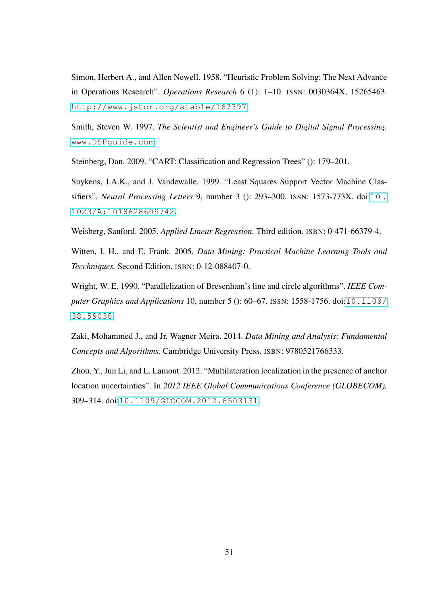<span id="page-57-1"></span>Simon, Herbert A., and Allen Newell. 1958. "Heuristic Problem Solving: The Next Advance in Operations Research". *Operations Research* 6 (1): 1–10. ISSN: 0030364X, 15265463. <http://www.jstor.org/stable/167397>.

<span id="page-57-8"></span>Smith, Steven W. 1997. *The Scientist and Engineer's Guide to Digital Signal Processing.* <www.DSPguide.com>.

<span id="page-57-4"></span>Steinberg, Dan. 2009. "CART: Classification and Regression Trees" (): 179–201.

<span id="page-57-5"></span>Suykens, J.A.K., and J. Vandewalle. 1999. "Least Squares Support Vector Machine Classifiers". *Neural Processing Letters* 9, number 3 (): 293–300. ISSN: 1573-773X. doi:[10 .](http://dx.doi.org/10.1023/A:1018628609742) [1023/A:1018628609742](http://dx.doi.org/10.1023/A:1018628609742).

<span id="page-57-3"></span>Weisberg, Sanford. 2005. *Applied Linear Regression.* Third edition. ISBN: 0-471-66379-4.

<span id="page-57-0"></span>Witten, I. H., and E. Frank. 2005. *Data Mining: Practical Machine Learning Tools and Tecchniques.* Second Edition. ISBN: 0-12-088407-0.

<span id="page-57-7"></span>Wright, W. E. 1990. "Parallelization of Bresenham's line and circle algorithms". *IEEE Computer Graphics and Applications* 10, number 5 (): 60–67. ISSN: 1558-1756. doi:[10.1109/](http://dx.doi.org/10.1109/38.59038) [38.59038](http://dx.doi.org/10.1109/38.59038).

<span id="page-57-2"></span>Zaki, Mohammed J., and Jr. Wagner Meira. 2014. *Data Mining and Analysis: Fundamental Concepts and Algorithms.* Cambridge University Press. ISBN: 9780521766333.

<span id="page-57-6"></span>Zhou, Y., Jun Li, and L. Lamont. 2012. "Multilateration localization in the presence of anchor location uncertainties". In *2012 IEEE Global Communications Conference (GLOBECOM),* 309–314. doi:[10.1109/GLOCOM.2012.6503131](http://dx.doi.org/10.1109/GLOCOM.2012.6503131).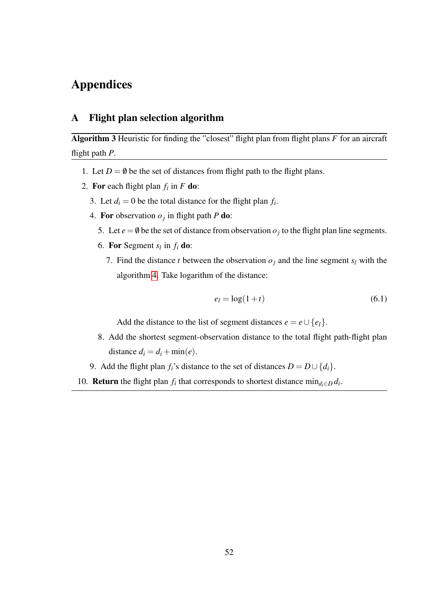# Appendices

## <span id="page-58-0"></span>A Flight plan selection algorithm

<span id="page-58-1"></span>Algorithm 3 Heuristic for finding the "closest" flight plan from flight plans *F* for an aircraft flight path *P*.

- 1. Let  $D = \emptyset$  be the set of distances from flight path to the flight plans.
- 2. For each flight plan  $f_i$  in  $F$  do:
	- 3. Let  $d_i = 0$  be the total distance for the flight plan  $f_i$ .
	- 4. For observation  $o_j$  in flight path *P* do:
		- 5. Let  $e = \emptyset$  be the set of distance from observation  $o_j$  to the flight plan line segments.
		- 6. For Segment  $s_l$  in  $f_i$  do:
			- 7. Find the distance *t* between the observation  $o_j$  and the line segment  $s_l$  with the algorithm [4.](#page-59-1) Take logarithm of the distance:

<span id="page-58-2"></span>
$$
e_l = \log(1+t) \tag{6.1}
$$

Add the distance to the list of segment distances  $e = e \cup \{e_l\}.$ 

- 8. Add the shortest segment-observation distance to the total flight path-flight plan distance  $d_i = d_i + \min(e)$ .
- 9. Add the flight plan *f*<sup>*i*</sup>s distance to the set of distances  $D = D \cup \{d_i\}$ .
- 10. **Return** the flight plan  $f_i$  that corresponds to shortest distance  $\min_{d_i \in D} d_i$ .